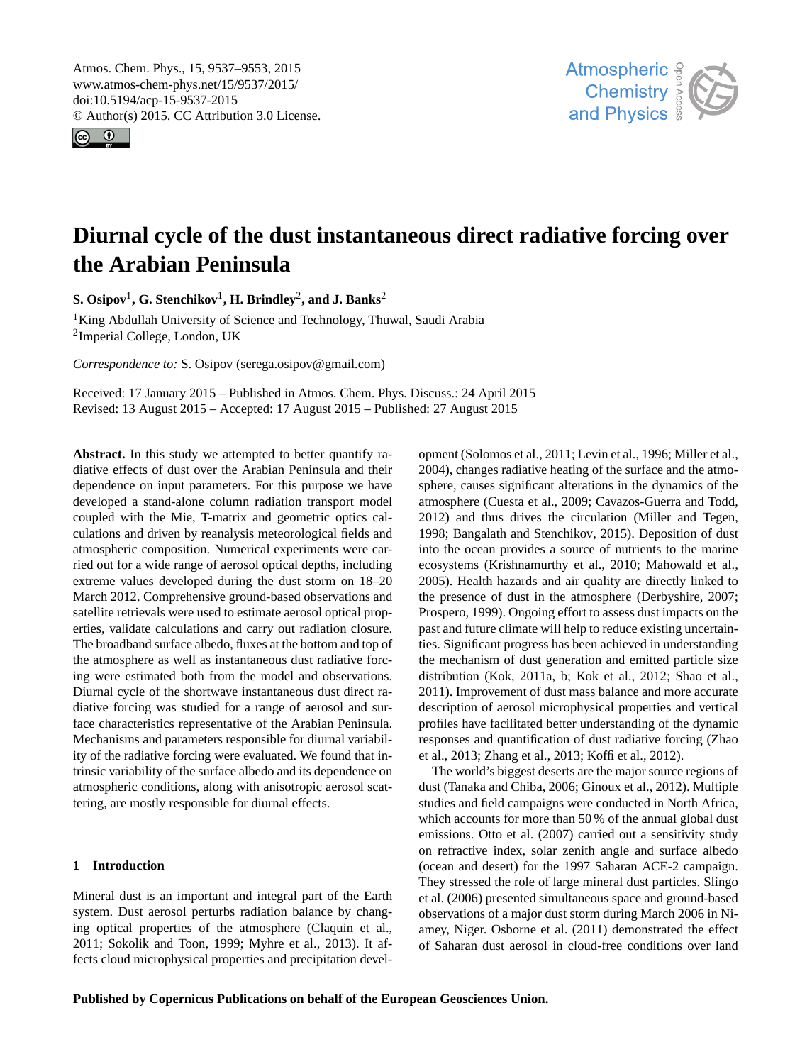<span id="page-0-1"></span>Atmos. Chem. Phys., 15, 9537–9553, 2015 www.atmos-chem-phys.net/15/9537/2015/ doi:10.5194/acp-15-9537-2015 © Author(s) 2015. CC Attribution 3.0 License.





# **Diurnal cycle of the dust instantaneous direct radiative forcing over the Arabian Peninsula**

 ${\bf S.~Osi pov}^1, {\bf G.~Stenchikov}^1, {\bf H.~Brindley}^2, {\bf and~J.~Banks}^2$  ${\bf S.~Osi pov}^1, {\bf G.~Stenchikov}^1, {\bf H.~Brindley}^2, {\bf and~J.~Banks}^2$  ${\bf S.~Osi pov}^1, {\bf G.~Stenchikov}^1, {\bf H.~Brindley}^2, {\bf and~J.~Banks}^2$  ${\bf S.~Osi pov}^1, {\bf G.~Stenchikov}^1, {\bf H.~Brindley}^2, {\bf and~J.~Banks}^2$  ${\bf S.~Osi pov}^1, {\bf G.~Stenchikov}^1, {\bf H.~Brindley}^2, {\bf and~J.~Banks}^2$ 

<sup>1</sup>King Abdullah University of Science and Technology, Thuwal, Saudi Arabia 2 Imperial College, London, UK

*Correspondence to:* S. Osipov (serega.osipov@gmail.com)

Received: 17 January 2015 – Published in Atmos. Chem. Phys. Discuss.: 24 April 2015 Revised: 13 August 2015 – Accepted: 17 August 2015 – Published: 27 August 2015

<span id="page-0-0"></span>**Abstract.** In this study we attempted to better quantify radiative effects of dust over the Arabian Peninsula and their dependence on input parameters. For this purpose we have developed a stand-alone column radiation transport model coupled with the Mie, T-matrix and geometric optics calculations and driven by reanalysis meteorological fields and atmospheric composition. Numerical experiments were carried out for a wide range of aerosol optical depths, including extreme values developed during the dust storm on 18–20 March 2012. Comprehensive ground-based observations and satellite retrievals were used to estimate aerosol optical properties, validate calculations and carry out radiation closure. The broadband surface albedo, fluxes at the bottom and top of the atmosphere as well as instantaneous dust radiative forcing were estimated both from the model and observations. Diurnal cycle of the shortwave instantaneous dust direct radiative forcing was studied for a range of aerosol and surface characteristics representative of the Arabian Peninsula. Mechanisms and parameters responsible for diurnal variability of the radiative forcing were evaluated. We found that intrinsic variability of the surface albedo and its dependence on atmospheric conditions, along with anisotropic aerosol scattering, are mostly responsible for diurnal effects.

# **1 Introduction**

Mineral dust is an important and integral part of the Earth system. Dust aerosol perturbs radiation balance by changing optical properties of the atmosphere [\(Claquin et al.,](#page-14-0) [2011;](#page-14-0) [Sokolik and Toon,](#page-16-0) [1999;](#page-16-0) [Myhre et al.,](#page-15-0) [2013\)](#page-15-0). It affects cloud microphysical properties and precipitation devel-

opment [\(Solomos et al.,](#page-16-1) [2011;](#page-16-1) [Levin et al.,](#page-15-1) [1996;](#page-15-1) [Miller et al.,](#page-15-2) [2004\)](#page-15-2), changes radiative heating of the surface and the atmosphere, causes significant alterations in the dynamics of the atmosphere [\(Cuesta et al.,](#page-14-1) [2009;](#page-14-1) [Cavazos-Guerra and Todd,](#page-14-2) [2012\)](#page-14-2) and thus drives the circulation [\(Miller and Tegen,](#page-15-3) [1998;](#page-15-3) [Bangalath and Stenchikov,](#page-14-3) [2015\)](#page-14-3). Deposition of dust into the ocean provides a source of nutrients to the marine ecosystems [\(Krishnamurthy et al.,](#page-15-4) [2010;](#page-15-4) [Mahowald et al.,](#page-15-5) [2005\)](#page-15-5). Health hazards and air quality are directly linked to the presence of dust in the atmosphere [\(Derbyshire,](#page-14-4) [2007;](#page-14-4) [Prospero,](#page-15-6) [1999\)](#page-15-6). Ongoing effort to assess dust impacts on the past and future climate will help to reduce existing uncertainties. Significant progress has been achieved in understanding the mechanism of dust generation and emitted particle size distribution [\(Kok,](#page-15-7) [2011a,](#page-15-7) [b;](#page-15-8) [Kok et al.,](#page-15-9) [2012;](#page-15-9) [Shao et al.,](#page-15-10) [2011\)](#page-15-10). Improvement of dust mass balance and more accurate description of aerosol microphysical properties and vertical profiles have facilitated better understanding of the dynamic responses and quantification of dust radiative forcing [\(Zhao](#page-16-2) [et al.,](#page-16-2) [2013;](#page-16-2) [Zhang et al.,](#page-16-3) [2013;](#page-16-3) [Koffi et al.,](#page-14-5) [2012\)](#page-14-5).

The world's biggest deserts are the major source regions of dust [\(Tanaka and Chiba,](#page-16-4) [2006;](#page-16-4) [Ginoux et al.,](#page-14-6) [2012\)](#page-14-6). Multiple studies and field campaigns were conducted in North Africa, which accounts for more than 50% of the annual global dust emissions. [Otto et al.](#page-15-11) [\(2007\)](#page-15-11) carried out a sensitivity study on refractive index, solar zenith angle and surface albedo (ocean and desert) for the 1997 Saharan ACE-2 campaign. They stressed the role of large mineral dust particles. [Slingo](#page-15-12) [et al.](#page-15-12) [\(2006\)](#page-15-12) presented simultaneous space and ground-based observations of a major dust storm during March 2006 in Niamey, Niger. [Osborne et al.](#page-15-13) [\(2011\)](#page-15-13) demonstrated the effect of Saharan dust aerosol in cloud-free conditions over land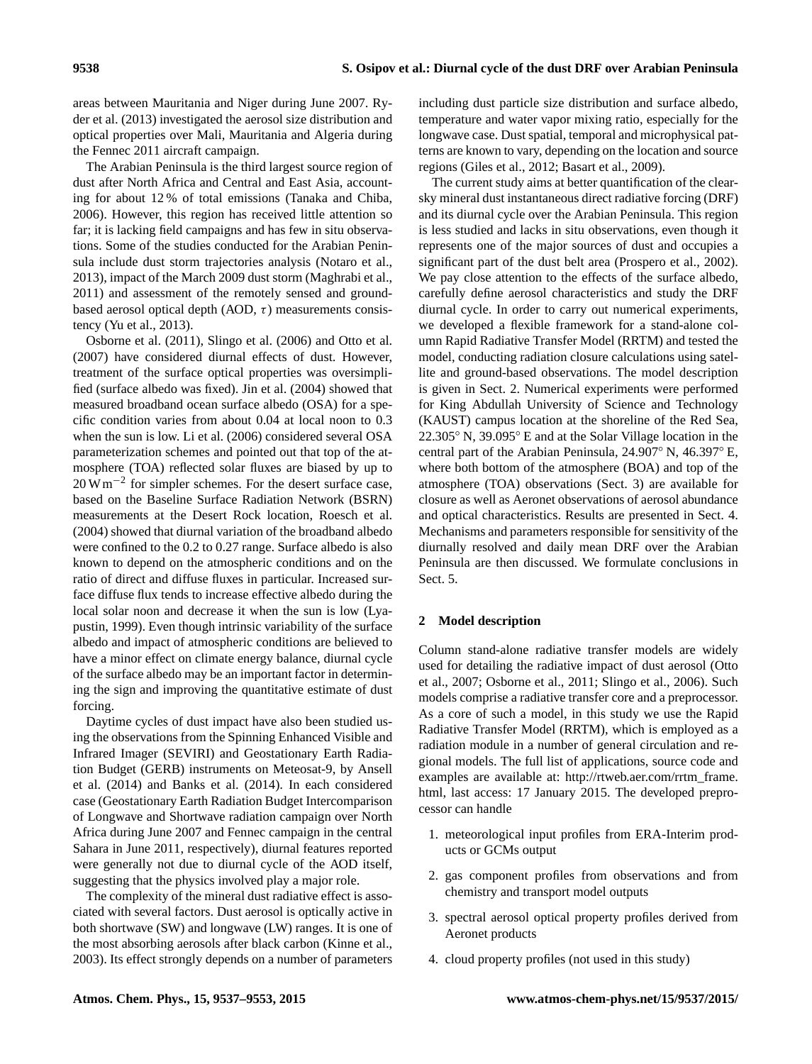areas between Mauritania and Niger during June 2007. [Ry](#page-15-14)[der et al.](#page-15-14) [\(2013\)](#page-15-14) investigated the aerosol size distribution and optical properties over Mali, Mauritania and Algeria during the Fennec 2011 aircraft campaign.

The Arabian Peninsula is the third largest source region of dust after North Africa and Central and East Asia, accounting for about 12 % of total emissions [\(Tanaka and Chiba,](#page-16-4) [2006\)](#page-16-4). However, this region has received little attention so far; it is lacking field campaigns and has few in situ observations. Some of the studies conducted for the Arabian Peninsula include dust storm trajectories analysis [\(Notaro et al.,](#page-15-15) [2013\)](#page-15-15), impact of the March 2009 dust storm [\(Maghrabi et al.,](#page-15-16) [2011\)](#page-15-16) and assessment of the remotely sensed and groundbased aerosol optical depth (AOD,  $\tau$ ) measurements consistency [\(Yu et al.,](#page-16-5) [2013\)](#page-16-5).

[Osborne et al.](#page-15-13) [\(2011\)](#page-15-13), [Slingo et al.](#page-15-12) [\(2006\)](#page-15-12) and [Otto et al.](#page-15-11) [\(2007\)](#page-15-11) have considered diurnal effects of dust. However, treatment of the surface optical properties was oversimplified (surface albedo was fixed). [Jin et al.](#page-14-7) [\(2004\)](#page-14-7) showed that measured broadband ocean surface albedo (OSA) for a specific condition varies from about 0.04 at local noon to 0.3 when the sun is low. [Li et al.](#page-15-17) [\(2006\)](#page-15-17) considered several OSA parameterization schemes and pointed out that top of the atmosphere (TOA) reflected solar fluxes are biased by up to 20 W m<sup>-2</sup> for simpler schemes. For the desert surface case, based on the Baseline Surface Radiation Network (BSRN) measurements at the Desert Rock location, [Roesch et al.](#page-15-18) [\(2004\)](#page-15-18) showed that diurnal variation of the broadband albedo were confined to the 0.2 to 0.27 range. Surface albedo is also known to depend on the atmospheric conditions and on the ratio of direct and diffuse fluxes in particular. Increased surface diffuse flux tends to increase effective albedo during the local solar noon and decrease it when the sun is low [\(Lya](#page-15-19)[pustin,](#page-15-19) [1999\)](#page-15-19). Even though intrinsic variability of the surface albedo and impact of atmospheric conditions are believed to have a minor effect on climate energy balance, diurnal cycle of the surface albedo may be an important factor in determining the sign and improving the quantitative estimate of dust forcing.

Daytime cycles of dust impact have also been studied using the observations from the Spinning Enhanced Visible and Infrared Imager (SEVIRI) and Geostationary Earth Radiation Budget (GERB) instruments on Meteosat-9, by [Ansell](#page-13-0) [et al.](#page-13-0) [\(2014\)](#page-13-0) and [Banks et al.](#page-14-8) [\(2014\)](#page-14-8). In each considered case (Geostationary Earth Radiation Budget Intercomparison of Longwave and Shortwave radiation campaign over North Africa during June 2007 and Fennec campaign in the central Sahara in June 2011, respectively), diurnal features reported were generally not due to diurnal cycle of the AOD itself, suggesting that the physics involved play a major role.

The complexity of the mineral dust radiative effect is associated with several factors. Dust aerosol is optically active in both shortwave (SW) and longwave (LW) ranges. It is one of the most absorbing aerosols after black carbon [\(Kinne et al.,](#page-14-9) [2003\)](#page-14-9). Its effect strongly depends on a number of parameters

including dust particle size distribution and surface albedo, temperature and water vapor mixing ratio, especially for the longwave case. Dust spatial, temporal and microphysical patterns are known to vary, depending on the location and source regions [\(Giles et al.,](#page-14-10) [2012;](#page-14-10) [Basart et al.,](#page-14-11) [2009\)](#page-14-11).

The current study aims at better quantification of the clearsky mineral dust instantaneous direct radiative forcing (DRF) and its diurnal cycle over the Arabian Peninsula. This region is less studied and lacks in situ observations, even though it represents one of the major sources of dust and occupies a significant part of the dust belt area [\(Prospero et al.,](#page-15-20) [2002\)](#page-15-20). We pay close attention to the effects of the surface albedo, carefully define aerosol characteristics and study the DRF diurnal cycle. In order to carry out numerical experiments, we developed a flexible framework for a stand-alone column Rapid Radiative Transfer Model (RRTM) and tested the model, conducting radiation closure calculations using satellite and ground-based observations. The model description is given in Sect. [2.](#page-1-0) Numerical experiments were performed for King Abdullah University of Science and Technology (KAUST) campus location at the shoreline of the Red Sea, 22.305◦ N, 39.095◦ E and at the Solar Village location in the central part of the Arabian Peninsula, 24.907◦ N, 46.397◦ E, where both bottom of the atmosphere (BOA) and top of the atmosphere (TOA) observations (Sect. [3\)](#page-4-0) are available for closure as well as Aeronet observations of aerosol abundance and optical characteristics. Results are presented in Sect. [4.](#page-4-1) Mechanisms and parameters responsible for sensitivity of the diurnally resolved and daily mean DRF over the Arabian Peninsula are then discussed. We formulate conclusions in Sect. 5.

# <span id="page-1-0"></span>**2 Model description**

Column stand-alone radiative transfer models are widely used for detailing the radiative impact of dust aerosol [\(Otto](#page-15-11) [et al.,](#page-15-11) [2007;](#page-15-11) [Osborne et al.,](#page-15-13) [2011;](#page-15-13) [Slingo et al.,](#page-15-12) [2006\)](#page-15-12). Such models comprise a radiative transfer core and a preprocessor. As a core of such a model, in this study we use the Rapid Radiative Transfer Model (RRTM), which is employed as a radiation module in a number of general circulation and regional models. The full list of applications, source code and examples are available at: [http://rtweb.aer.com/rrtm\\_frame.](http://rtweb.aer.com/rrtm_frame.html) [html,](http://rtweb.aer.com/rrtm_frame.html) last access: 17 January 2015. The developed preprocessor can handle

- 1. meteorological input profiles from ERA-Interim products or GCMs output
- 2. gas component profiles from observations and from chemistry and transport model outputs
- 3. spectral aerosol optical property profiles derived from Aeronet products
- 4. cloud property profiles (not used in this study)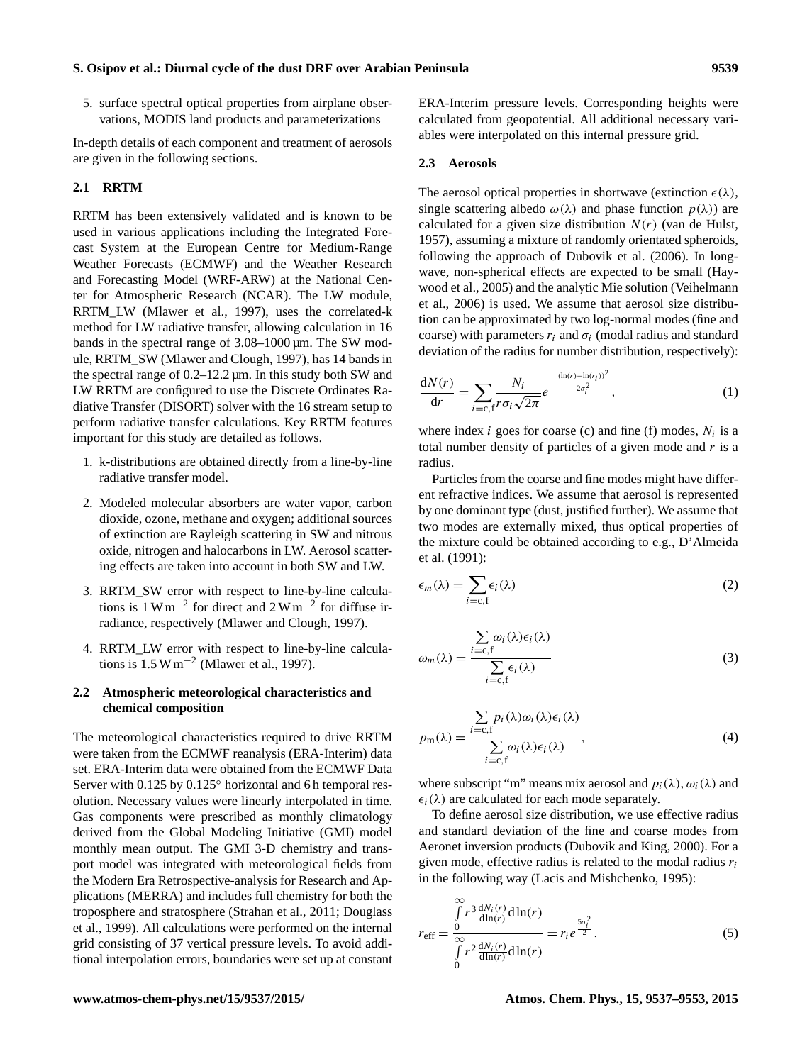5. surface spectral optical properties from airplane observations, MODIS land products and parameterizations

In-depth details of each component and treatment of aerosols are given in the following sections.

# **2.1 RRTM**

RRTM has been extensively validated and is known to be used in various applications including the Integrated Forecast System at the European Centre for Medium-Range Weather Forecasts (ECMWF) and the Weather Research and Forecasting Model (WRF-ARW) at the National Center for Atmospheric Research (NCAR). The LW module, RRTM\_LW [\(Mlawer et al.,](#page-15-21) [1997\)](#page-15-21), uses the correlated-k method for LW radiative transfer, allowing calculation in 16 bands in the spectral range of 3.08–1000 µm. The SW module, RRTM\_SW [\(Mlawer and Clough,](#page-15-22) [1997\)](#page-15-22), has 14 bands in the spectral range of 0.2–12.2 µm. In this study both SW and LW RRTM are configured to use the Discrete Ordinates Radiative Transfer (DISORT) solver with the 16 stream setup to perform radiative transfer calculations. Key RRTM features important for this study are detailed as follows.

- 1. k-distributions are obtained directly from a line-by-line radiative transfer model.
- 2. Modeled molecular absorbers are water vapor, carbon dioxide, ozone, methane and oxygen; additional sources of extinction are Rayleigh scattering in SW and nitrous oxide, nitrogen and halocarbons in LW. Aerosol scattering effects are taken into account in both SW and LW.
- 3. RRTM\_SW error with respect to line-by-line calculations is  $1 \text{ W m}^{-2}$  for direct and  $2 \text{ W m}^{-2}$  for diffuse irradiance, respectively [\(Mlawer and Clough,](#page-15-22) [1997\)](#page-15-22).
- 4. RRTM\_LW error with respect to line-by-line calculations is 1.5 W m−<sup>2</sup> [\(Mlawer et al.,](#page-15-21) [1997\)](#page-15-21).

# <span id="page-2-1"></span>**2.2 Atmospheric meteorological characteristics and chemical composition**

The meteorological characteristics required to drive RRTM were taken from the ECMWF reanalysis (ERA-Interim) data set. ERA-Interim data were obtained from the ECMWF Data Server with 0.125 by 0.125 $\degree$  horizontal and 6 h temporal resolution. Necessary values were linearly interpolated in time. Gas components were prescribed as monthly climatology derived from the Global Modeling Initiative (GMI) model monthly mean output. The GMI 3-D chemistry and transport model was integrated with meteorological fields from the Modern Era Retrospective-analysis for Research and Applications (MERRA) and includes full chemistry for both the troposphere and stratosphere [\(Strahan et al.,](#page-16-6) [2011;](#page-16-6) [Douglass](#page-14-12) [et al.,](#page-14-12) [1999\)](#page-14-12). All calculations were performed on the internal grid consisting of 37 vertical pressure levels. To avoid additional interpolation errors, boundaries were set up at constant ERA-Interim pressure levels. Corresponding heights were calculated from geopotential. All additional necessary variables were interpolated on this internal pressure grid.

#### **2.3 Aerosols**

The aerosol optical properties in shortwave (extinction  $\epsilon(\lambda)$ , single scattering albedo  $\omega(\lambda)$  and phase function  $p(\lambda)$  are calculated for a given size distribution  $N(r)$  [\(van de Hulst,](#page-16-7) [1957\)](#page-16-7), assuming a mixture of randomly orientated spheroids, following the approach of [Dubovik et al.](#page-14-13) [\(2006\)](#page-14-13). In longwave, non-spherical effects are expected to be small [\(Hay](#page-14-14)[wood et al.,](#page-14-14) [2005\)](#page-14-14) and the analytic Mie solution [\(Veihelmann](#page-16-8) [et al.,](#page-16-8) [2006\)](#page-16-8) is used. We assume that aerosol size distribution can be approximated by two log-normal modes (fine and coarse) with parameters  $r_i$  and  $\sigma_i$  (modal radius and standard deviation of the radius for number distribution, respectively):

<span id="page-2-0"></span>
$$
\frac{dN(r)}{dr} = \sum_{i=c, f} \frac{N_i}{r \sigma_i \sqrt{2\pi}} e^{-\frac{(\ln(r) - \ln(r_i))^2}{2\sigma_i^2}},
$$
\n(1)

where index *i* goes for coarse (c) and fine (f) modes,  $N_i$  is a total number density of particles of a given mode and  $r$  is a radius.

Particles from the coarse and fine modes might have different refractive indices. We assume that aerosol is represented by one dominant type (dust, justified further). We assume that two modes are externally mixed, thus optical properties of the mixture could be obtained according to e.g., [D'Almeida](#page-14-15) [et al.](#page-14-15) [\(1991\)](#page-14-15):

$$
\epsilon_m(\lambda) = \sum_{i=c, f} \epsilon_i(\lambda) \tag{2}
$$

$$
\omega_m(\lambda) = \frac{\sum_{i=c,f} \omega_i(\lambda)\epsilon_i(\lambda)}{\sum_{i=c,f} \epsilon_i(\lambda)}
$$
(3)

$$
p_{\mathbf{m}}(\lambda) = \frac{\sum_{i=c, f} p_i(\lambda)\omega_i(\lambda)\epsilon_i(\lambda)}{\sum_{i=c, f} \omega_i(\lambda)\epsilon_i(\lambda)},
$$
\n(4)

where subscript "m" means mix aerosol and  $p_i(\lambda)$ ,  $\omega_i(\lambda)$  and  $\epsilon_i(\lambda)$  are calculated for each mode separately.

To define aerosol size distribution, we use effective radius and standard deviation of the fine and coarse modes from Aeronet inversion products [\(Dubovik and King,](#page-14-16) [2000\)](#page-14-16). For a given mode, effective radius is related to the modal radius  $r_i$ in the following way [\(Lacis and Mishchenko,](#page-15-23) [1995\)](#page-15-23):

$$
r_{\text{eff}} = \frac{\int_{0}^{\infty} r^3 \frac{dN_i(r)}{d\ln(r)} d\ln(r)}{\int_{0}^{\infty} r^2 \frac{dN_i(r)}{d\ln(r)} d\ln(r)} = r_i e^{\frac{5\sigma_i^2}{2}}.
$$
 (5)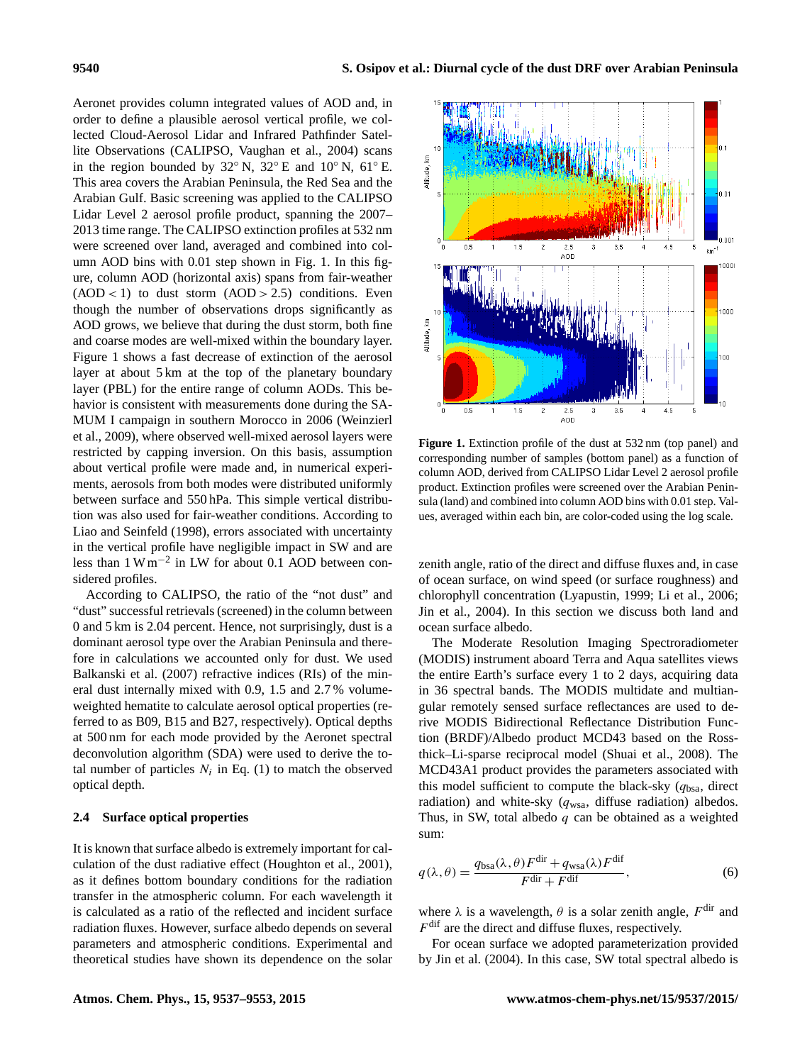Aeronet provides column integrated values of AOD and, in order to define a plausible aerosol vertical profile, we collected Cloud-Aerosol Lidar and Infrared Pathfinder Satellite Observations (CALIPSO, [Vaughan et al.,](#page-16-9) [2004\)](#page-16-9) scans in the region bounded by  $32°$  N,  $32°$  E and  $10°$  N,  $61°$  E. This area covers the Arabian Peninsula, the Red Sea and the Arabian Gulf. Basic screening was applied to the CALIPSO Lidar Level 2 aerosol profile product, spanning the 2007– 2013 time range. The CALIPSO extinction profiles at 532 nm were screened over land, averaged and combined into column AOD bins with 0.01 step shown in Fig. [1.](#page-3-0) In this figure, column AOD (horizontal axis) spans from fair-weather  $(AOD < 1)$  to dust storm  $(AOD > 2.5)$  conditions. Even though the number of observations drops significantly as AOD grows, we believe that during the dust storm, both fine and coarse modes are well-mixed within the boundary layer. Figure [1](#page-3-0) shows a fast decrease of extinction of the aerosol layer at about 5 km at the top of the planetary boundary layer (PBL) for the entire range of column AODs. This behavior is consistent with measurements done during the SA-MUM I campaign in southern Morocco in 2006 [\(Weinzierl](#page-16-10) [et al.,](#page-16-10) [2009\)](#page-16-10), where observed well-mixed aerosol layers were restricted by capping inversion. On this basis, assumption about vertical profile were made and, in numerical experiments, aerosols from both modes were distributed uniformly between surface and 550 hPa. This simple vertical distribution was also used for fair-weather conditions. According to [Liao and Seinfeld](#page-15-24) [\(1998\)](#page-15-24), errors associated with uncertainty in the vertical profile have negligible impact in SW and are less than 1 W m−<sup>2</sup> in LW for about 0.1 AOD between considered profiles.

According to CALIPSO, the ratio of the "not dust" and "dust" successful retrievals (screened) in the column between 0 and 5 km is 2.04 percent. Hence, not surprisingly, dust is a dominant aerosol type over the Arabian Peninsula and therefore in calculations we accounted only for dust. We used [Balkanski et al.](#page-13-1) [\(2007\)](#page-13-1) refractive indices (RIs) of the mineral dust internally mixed with 0.9, 1.5 and 2.7 % volumeweighted hematite to calculate aerosol optical properties (referred to as B09, B15 and B27, respectively). Optical depths at 500 nm for each mode provided by the Aeronet spectral deconvolution algorithm (SDA) were used to derive the total number of particles  $N_i$  in Eq. [\(1\)](#page-2-0) to match the observed optical depth.

# <span id="page-3-2"></span>**2.4 Surface optical properties**

It is known that surface albedo is extremely important for calculation of the dust radiative effect [\(Houghton et al.,](#page-14-17) [2001\)](#page-14-17), as it defines bottom boundary conditions for the radiation transfer in the atmospheric column. For each wavelength it is calculated as a ratio of the reflected and incident surface radiation fluxes. However, surface albedo depends on several parameters and atmospheric conditions. Experimental and theoretical studies have shown its dependence on the solar zenith angle, ratio of the direct and diffuse fluxes and, in case of ocean surface, on wind speed (or surface roughness) and chlorophyll concentration [\(Lyapustin,](#page-15-19) [1999;](#page-15-19) [Li et al.,](#page-15-17) [2006;](#page-15-17) [Jin et al.,](#page-14-7) [2004\)](#page-14-7). In this section we discuss both land and ocean surface albedo.

The Moderate Resolution Imaging Spectroradiometer (MODIS) instrument aboard Terra and Aqua satellites views the entire Earth's surface every 1 to 2 days, acquiring data in 36 spectral bands. The MODIS multidate and multiangular remotely sensed surface reflectances are used to derive MODIS Bidirectional Reflectance Distribution Function (BRDF)/Albedo product MCD43 based on the Rossthick–Li-sparse reciprocal model [\(Shuai et al.,](#page-15-25) [2008\)](#page-15-25). The MCD43A1 product provides the parameters associated with this model sufficient to compute the black-sky  $(q_{\text{bsa}})$ , direct radiation) and white-sky  $(q_{\text{wsa}})$ , diffuse radiation) albedos. Thus, in SW, total albedo  $q$  can be obtained as a weighted sum:

<span id="page-3-1"></span>
$$
q(\lambda, \theta) = \frac{q_{\text{bsa}}(\lambda, \theta) F^{\text{dir}} + q_{\text{wsa}}(\lambda) F^{\text{dif}}}{F^{\text{dir}} + F^{\text{dif}}},
$$
(6)

where  $\lambda$  is a wavelength,  $\theta$  is a solar zenith angle,  $F^{\text{dir}}$  and  $F^{\text{dif}}$  are the direct and diffuse fluxes, respectively.

For ocean surface we adopted parameterization provided by [Jin et al.](#page-14-7) [\(2004\)](#page-14-7). In this case, SW total spectral albedo is



<span id="page-3-0"></span>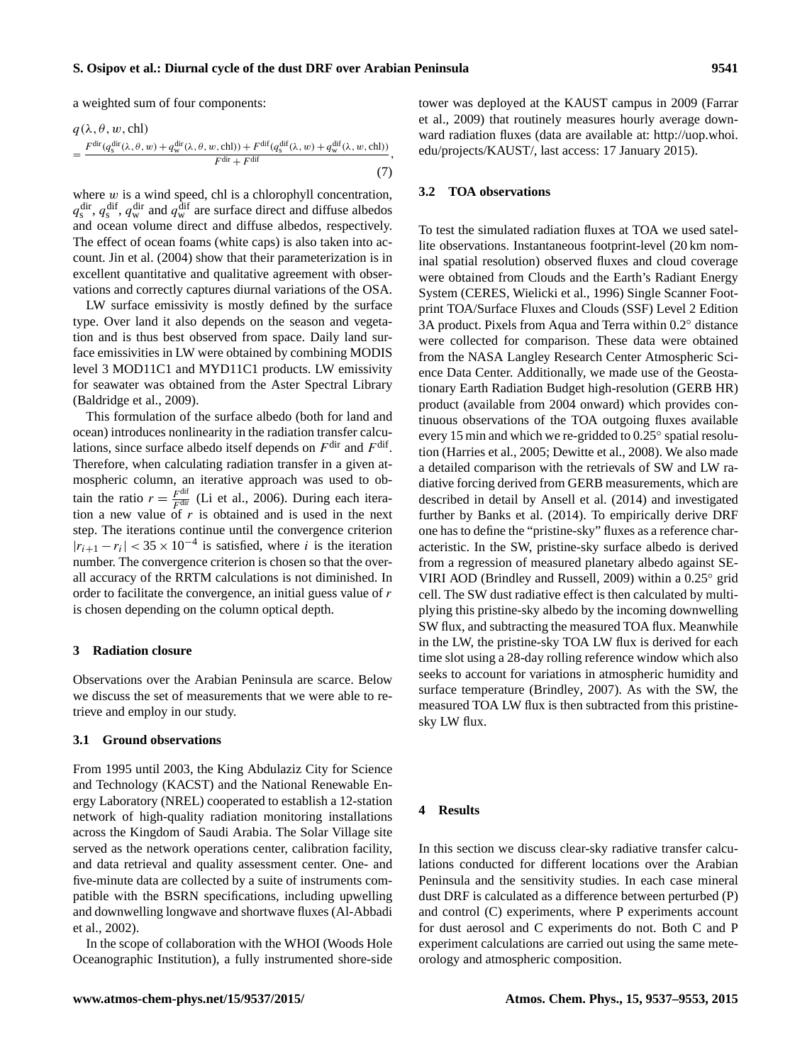a weighted sum of four components:

$$
q(\lambda, \theta, w, \text{chl}) = \frac{F^{\text{dir}}(q_s^{\text{dir}}(\lambda, \theta, w) + q_w^{\text{dir}}(\lambda, \theta, w, \text{chl})) + F^{\text{dif}}(q_s^{\text{dif}}(\lambda, w) + q_w^{\text{dif}}(\lambda, w, \text{chl}))}{F^{\text{dir}} + F^{\text{dif}}},\tag{7}
$$

where  $w$  is a wind speed, chl is a chlorophyll concentration,  $q_s^{\text{dir}}, q_s^{\text{dir}}, q_w^{\text{dir}}$  and  $q_w^{\text{dif}}$  are surface direct and diffuse albedos and ocean volume direct and diffuse albedos, respectively. The effect of ocean foams (white caps) is also taken into account. [Jin et al.](#page-14-7) [\(2004\)](#page-14-7) show that their parameterization is in excellent quantitative and qualitative agreement with observations and correctly captures diurnal variations of the OSA.

LW surface emissivity is mostly defined by the surface type. Over land it also depends on the season and vegetation and is thus best observed from space. Daily land surface emissivities in LW were obtained by combining MODIS level 3 MOD11C1 and MYD11C1 products. LW emissivity for seawater was obtained from the Aster Spectral Library [\(Baldridge et al.,](#page-13-2) [2009\)](#page-13-2).

This formulation of the surface albedo (both for land and ocean) introduces nonlinearity in the radiation transfer calculations, since surface albedo itself depends on  $F^{\text{dir}}$  and  $F^{\text{dif}}$ . Therefore, when calculating radiation transfer in a given atmospheric column, an iterative approach was used to obtain the ratio  $r = \frac{F^{\text{diff}}}{F^{\text{dir}}_g}$  [\(Li et al.,](#page-15-17) [2006\)](#page-15-17). During each iteration a new value of  $r$  is obtained and is used in the next step. The iterations continue until the convergence criterion  $|r_{i+1} - r_i| < 35 \times 10^{-4}$  is satisfied, where i is the iteration number. The convergence criterion is chosen so that the overall accuracy of the RRTM calculations is not diminished. In order to facilitate the convergence, an initial guess value of r is chosen depending on the column optical depth.

# <span id="page-4-0"></span>**3 Radiation closure**

Observations over the Arabian Peninsula are scarce. Below we discuss the set of measurements that we were able to retrieve and employ in our study.

## **3.1 Ground observations**

From 1995 until 2003, the King Abdulaziz City for Science and Technology (KACST) and the National Renewable Energy Laboratory (NREL) cooperated to establish a 12-station network of high-quality radiation monitoring installations across the Kingdom of Saudi Arabia. The Solar Village site served as the network operations center, calibration facility, and data retrieval and quality assessment center. One- and five-minute data are collected by a suite of instruments compatible with the BSRN specifications, including upwelling and downwelling longwave and shortwave fluxes [\(Al-Abbadi](#page-13-3) [et al.,](#page-13-3) [2002\)](#page-13-3).

In the scope of collaboration with the WHOI (Woods Hole Oceanographic Institution), a fully instrumented shore-side tower was deployed at the KAUST campus in 2009 [\(Farrar](#page-14-18) [et al.,](#page-14-18) [2009\)](#page-14-18) that routinely measures hourly average downward radiation fluxes (data are available at: [http://uop.whoi.](http://uop.whoi.edu/projects/KAUST/) [edu/projects/KAUST/,](http://uop.whoi.edu/projects/KAUST/) last access: 17 January 2015).

#### **3.2 TOA observations**

To test the simulated radiation fluxes at TOA we used satellite observations. Instantaneous footprint-level (20 km nominal spatial resolution) observed fluxes and cloud coverage were obtained from Clouds and the Earth's Radiant Energy System (CERES, [Wielicki et al.,](#page-16-11) [1996\)](#page-16-11) Single Scanner Footprint TOA/Surface Fluxes and Clouds (SSF) Level 2 Edition 3A product. Pixels from Aqua and Terra within 0.2◦ distance were collected for comparison. These data were obtained from the NASA Langley Research Center Atmospheric Science Data Center. Additionally, we made use of the Geostationary Earth Radiation Budget high-resolution (GERB HR) product (available from 2004 onward) which provides continuous observations of the TOA outgoing fluxes available every 15 min and which we re-gridded to 0.25◦ spatial resolution [\(Harries et al.,](#page-14-19) [2005;](#page-14-19) [Dewitte et al.,](#page-14-20) [2008\)](#page-14-20). We also made a detailed comparison with the retrievals of SW and LW radiative forcing derived from GERB measurements, which are described in detail by [Ansell et al.](#page-13-0) [\(2014\)](#page-13-0) and investigated further by [Banks et al.](#page-14-8) [\(2014\)](#page-14-8). To empirically derive DRF one has to define the "pristine-sky" fluxes as a reference characteristic. In the SW, pristine-sky surface albedo is derived from a regression of measured planetary albedo against SE-VIRI AOD [\(Brindley and Russell,](#page-14-21) [2009\)](#page-14-21) within a 0.25◦ grid cell. The SW dust radiative effect is then calculated by multiplying this pristine-sky albedo by the incoming downwelling SW flux, and subtracting the measured TOA flux. Meanwhile in the LW, the pristine-sky TOA LW flux is derived for each time slot using a 28-day rolling reference window which also seeks to account for variations in atmospheric humidity and surface temperature [\(Brindley,](#page-14-22) [2007\)](#page-14-22). As with the SW, the measured TOA LW flux is then subtracted from this pristinesky LW flux.

#### <span id="page-4-1"></span>**4 Results**

In this section we discuss clear-sky radiative transfer calculations conducted for different locations over the Arabian Peninsula and the sensitivity studies. In each case mineral dust DRF is calculated as a difference between perturbed (P) and control (C) experiments, where P experiments account for dust aerosol and C experiments do not. Both C and P experiment calculations are carried out using the same meteorology and atmospheric composition.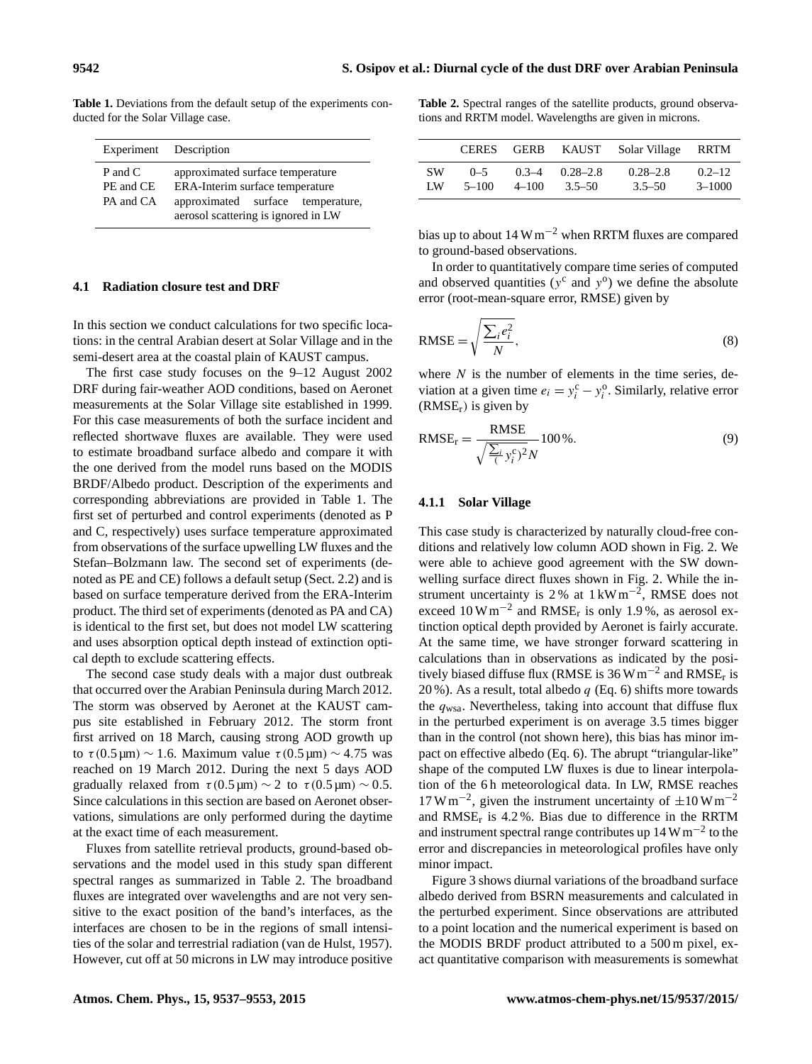<span id="page-5-0"></span>**Table 1.** Deviations from the default setup of the experiments con-

| Experiment Description |                                     |  |  |  |  |
|------------------------|-------------------------------------|--|--|--|--|
| P and C                | approximated surface temperature    |  |  |  |  |
| PE and CE              | ERA-Interim surface temperature     |  |  |  |  |
| PA and CA              | approximated surface temperature,   |  |  |  |  |
|                        | aerosol scattering is ignored in LW |  |  |  |  |

# **4.1 Radiation closure test and DRF**

In this section we conduct calculations for two specific locations: in the central Arabian desert at Solar Village and in the semi-desert area at the coastal plain of KAUST campus.

The first case study focuses on the 9–12 August 2002 DRF during fair-weather AOD conditions, based on Aeronet measurements at the Solar Village site established in 1999. For this case measurements of both the surface incident and reflected shortwave fluxes are available. They were used to estimate broadband surface albedo and compare it with the one derived from the model runs based on the MODIS BRDF/Albedo product. Description of the experiments and corresponding abbreviations are provided in Table [1.](#page-5-0) The first set of perturbed and control experiments (denoted as P and C, respectively) uses surface temperature approximated from observations of the surface upwelling LW fluxes and the Stefan–Bolzmann law. The second set of experiments (denoted as PE and CE) follows a default setup (Sect. [2.2\)](#page-2-1) and is based on surface temperature derived from the ERA-Interim product. The third set of experiments (denoted as PA and CA) is identical to the first set, but does not model LW scattering and uses absorption optical depth instead of extinction optical depth to exclude scattering effects.

The second case study deals with a major dust outbreak that occurred over the Arabian Peninsula during March 2012. The storm was observed by Aeronet at the KAUST campus site established in February 2012. The storm front first arrived on 18 March, causing strong AOD growth up to τ (0.5 μm) ~ 1.6. Maximum value τ (0.5 μm) ~ 4.75 was reached on 19 March 2012. During the next 5 days AOD gradually relaxed from  $\tau$  (0.5 µm) ~ 2 to  $\tau$  (0.5 µm) ~ 0.5. Since calculations in this section are based on Aeronet observations, simulations are only performed during the daytime at the exact time of each measurement.

Fluxes from satellite retrieval products, ground-based observations and the model used in this study span different spectral ranges as summarized in Table [2.](#page-5-1) The broadband fluxes are integrated over wavelengths and are not very sensitive to the exact position of the band's interfaces, as the interfaces are chosen to be in the regions of small intensities of the solar and terrestrial radiation [\(van de Hulst,](#page-16-7) [1957\)](#page-16-7). However, cut off at 50 microns in LW may introduce positive <span id="page-5-1"></span>**Table 2.** Spectral ranges of the satellite products, ground observations and RRTM model. Wavelengths are given in microns.

|           | <b>CERES</b> | <b>GERB</b> | KAUST        | Solar Village | RRTM       |
|-----------|--------------|-------------|--------------|---------------|------------|
| <b>SW</b> | $0 - 5$      | $0.3 - 4$   | $0.28 - 2.8$ | $0.28 - 2.8$  | $0.2 - 12$ |
| LW        | $5 - 100$    | $4 - 100$   | $3.5 - 50$   | $3.5 - 50$    | $3 - 1000$ |

bias up to about  $14 \text{ W m}^{-2}$  when RRTM fluxes are compared to ground-based observations.

In order to quantitatively compare time series of computed and observed quantities ( $y^c$  and  $y^o$ ) we define the absolute error (root-mean-square error, RMSE) given by

$$
RMSE = \sqrt{\frac{\sum_{i} e_i^2}{N}},
$$
\n(8)

where  $N$  is the number of elements in the time series, deviation at a given time  $e_i = y_i^c - y_i^o$ . Similarly, relative error  $(RMSE<sub>r</sub>)$  is given by

$$
\text{RMSE}_{\text{r}} = \frac{\text{RMSE}}{\sqrt{\frac{\sum_{i} y_i^c}{(y_i^c)^2} N}} 100\%.
$$
\n(9)

#### <span id="page-5-2"></span>**4.1.1 Solar Village**

This case study is characterized by naturally cloud-free conditions and relatively low column AOD shown in Fig. [2.](#page-6-0) We were able to achieve good agreement with the SW downwelling surface direct fluxes shown in Fig. [2.](#page-6-0) While the instrument uncertainty is 2% at  $1 \text{ kW m}^{-2}$ , RMSE does not exceed  $10 \text{ W m}^{-2}$  and RMSE<sub>r</sub> is only 1.9%, as aerosol extinction optical depth provided by Aeronet is fairly accurate. At the same time, we have stronger forward scattering in calculations than in observations as indicated by the positively biased diffuse flux (RMSE is 36 W m<sup>-2</sup> and RMSE<sub>r</sub> is 20 %). As a result, total albedo  $q$  (Eq. [6\)](#page-3-1) shifts more towards the  $q_{\text{ws}}$ . Nevertheless, taking into account that diffuse flux in the perturbed experiment is on average 3.5 times bigger than in the control (not shown here), this bias has minor impact on effective albedo (Eq. [6\)](#page-3-1). The abrupt "triangular-like" shape of the computed LW fluxes is due to linear interpolation of the 6 h meteorological data. In LW, RMSE reaches  $17 \text{ W m}^{-2}$ , given the instrument uncertainty of  $\pm 10 \text{ W m}^{-2}$ and  $RMSE_r$  is 4.2%. Bias due to difference in the RRTM and instrument spectral range contributes up  $14 \text{ W m}^{-2}$  to the error and discrepancies in meteorological profiles have only minor impact.

Figure [3](#page-6-1) shows diurnal variations of the broadband surface albedo derived from BSRN measurements and calculated in the perturbed experiment. Since observations are attributed to a point location and the numerical experiment is based on the MODIS BRDF product attributed to a 500 m pixel, exact quantitative comparison with measurements is somewhat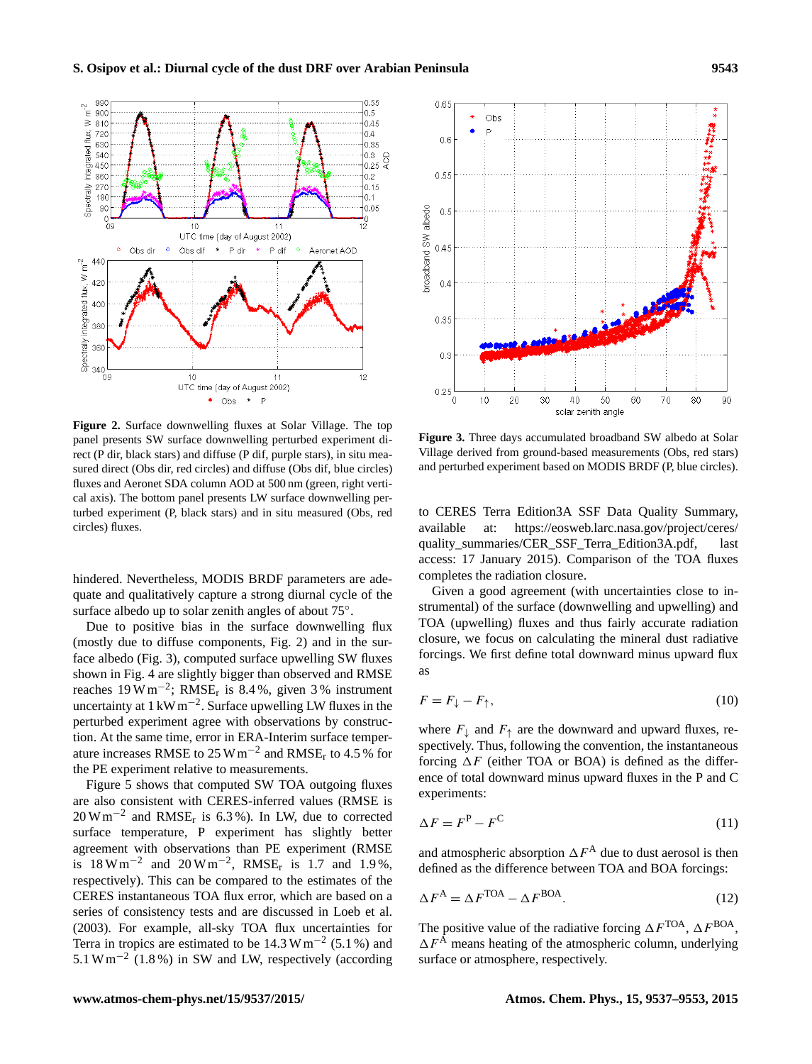<span id="page-6-0"></span>

**Figure 2.** Surface downwelling fluxes at Solar Village. The top panel presents SW surface downwelling perturbed experiment direct (P dir, black stars) and diffuse (P dif, purple stars), in situ measured direct (Obs dir, red circles) and diffuse (Obs dif, blue circles) fluxes and Aeronet SDA column AOD at 500 nm (green, right vertical axis). The bottom panel presents LW surface downwelling perturbed experiment (P, black stars) and in situ measured (Obs, red circles) fluxes.

hindered. Nevertheless, MODIS BRDF parameters are adequate and qualitatively capture a strong diurnal cycle of the surface albedo up to solar zenith angles of about 75°.

Due to positive bias in the surface downwelling flux (mostly due to diffuse components, Fig. [2\)](#page-6-0) and in the surface albedo (Fig. [3\)](#page-6-1), computed surface upwelling SW fluxes shown in Fig. [4](#page-7-0) are slightly bigger than observed and RMSE reaches  $19 \,\mathrm{W\,m^{-2}}$ ; RMSE<sub>r</sub> is 8.4%, given 3% instrument uncertainty at 1 kW m−<sup>2</sup> . Surface upwelling LW fluxes in the perturbed experiment agree with observations by construction. At the same time, error in ERA-Interim surface temperature increases RMSE to 25 W  $\text{m}^{-2}$  and RMSE<sub>r</sub> to 4.5 % for the PE experiment relative to measurements.

Figure [5](#page-7-1) shows that computed SW TOA outgoing fluxes are also consistent with CERES-inferred values (RMSE is  $20 \text{ W m}^{-2}$  and RMSE<sub>r</sub> is 6.3%). In LW, due to corrected surface temperature, P experiment has slightly better agreement with observations than PE experiment (RMSE is  $18 \text{ W m}^{-2}$  and  $20 \text{ W m}^{-2}$ , RMSE<sub>r</sub> is 1.7 and 1.9%, respectively). This can be compared to the estimates of the CERES instantaneous TOA flux error, which are based on a series of consistency tests and are discussed in [Loeb et al.](#page-15-26) [\(2003\)](#page-15-26). For example, all-sky TOA flux uncertainties for Terra in tropics are estimated to be  $14.3 \text{ W m}^{-2}$  (5.1%) and 5.1 W m−<sup>2</sup> (1.8 %) in SW and LW, respectively (according

<span id="page-6-1"></span>

**Figure 3.** Three days accumulated broadband SW albedo at Solar Village derived from ground-based measurements (Obs, red stars) and perturbed experiment based on MODIS BRDF (P, blue circles).

to CERES Terra Edition3A SSF Data Quality Summary, available at: [https://eosweb.larc.nasa.gov/project/ceres/](https://eosweb.larc.nasa.gov/project/ceres/quality_summaries/CER_SSF_Terra_Edition3A.pdf) [quality\\_summaries/CER\\_SSF\\_Terra\\_Edition3A.pdf,](https://eosweb.larc.nasa.gov/project/ceres/quality_summaries/CER_SSF_Terra_Edition3A.pdf) last access: 17 January 2015). Comparison of the TOA fluxes completes the radiation closure.

Given a good agreement (with uncertainties close to instrumental) of the surface (downwelling and upwelling) and TOA (upwelling) fluxes and thus fairly accurate radiation closure, we focus on calculating the mineral dust radiative forcings. We first define total downward minus upward flux as

$$
F = F_{\downarrow} - F_{\uparrow},\tag{10}
$$

where  $F_{\downarrow}$  and  $F_{\uparrow}$  are the downward and upward fluxes, respectively. Thus, following the convention, the instantaneous forcing  $\Delta F$  (either TOA or BOA) is defined as the difference of total downward minus upward fluxes in the P and C experiments:

$$
\Delta F = F^{\mathcal{P}} - F^{\mathcal{C}}
$$
\n<sup>(11)</sup>

and atmospheric absorption  $\Delta F^{\mathcal{A}}$  due to dust aerosol is then defined as the difference between TOA and BOA forcings:

$$
\Delta F^{\mathcal{A}} = \Delta F^{\text{TOA}} - \Delta F^{\text{BOA}}.\tag{12}
$$

The positive value of the radiative forcing  $\Delta F^{TOA}$ ,  $\Delta F^{BOA}$ ,  $\Delta F^{\text{A}}$  means heating of the atmospheric column, underlying surface or atmosphere, respectively.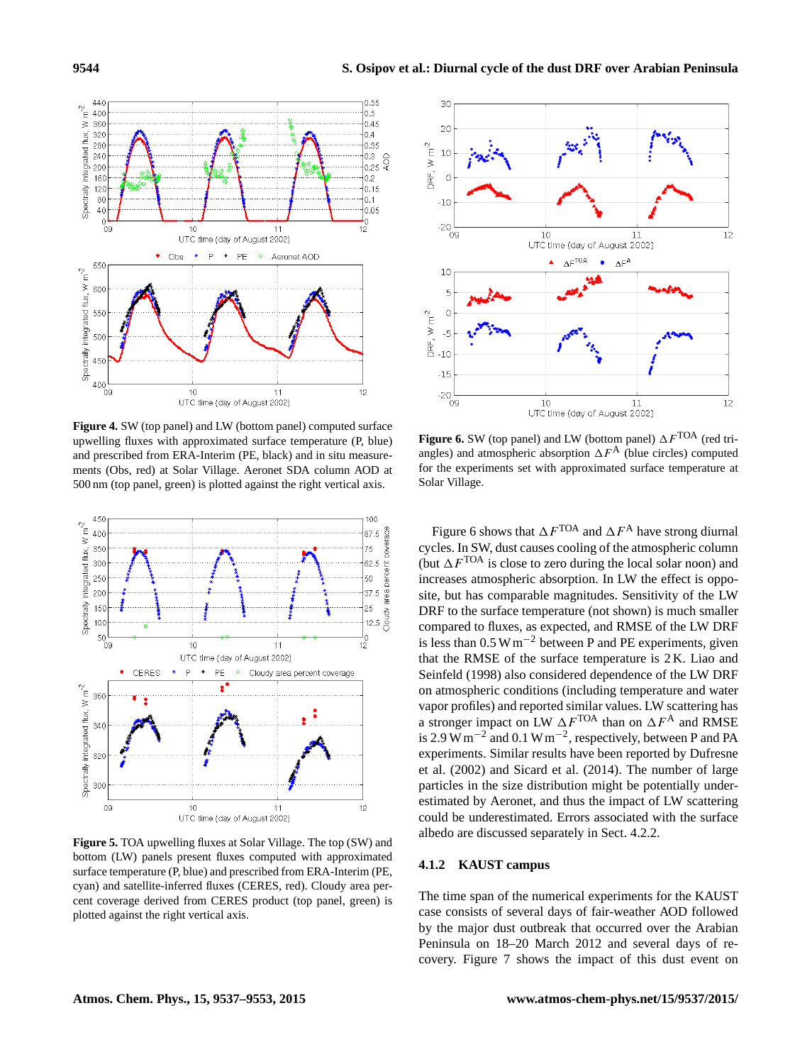<span id="page-7-0"></span>

**Figure 4.** SW (top panel) and LW (bottom panel) computed surface upwelling fluxes with approximated surface temperature (P, blue) and prescribed from ERA-Interim (PE, black) and in situ measurements (Obs, red) at Solar Village. Aeronet SDA column AOD at 500 nm (top panel, green) is plotted against the right vertical axis.

<span id="page-7-1"></span>

**Figure 5.** TOA upwelling fluxes at Solar Village. The top (SW) and bottom (LW) panels present fluxes computed with approximated surface temperature (P, blue) and prescribed from ERA-Interim (PE, cyan) and satellite-inferred fluxes (CERES, red). Cloudy area percent coverage derived from CERES product (top panel, green) is plotted against the right vertical axis.

<span id="page-7-2"></span>

**Figure 6.** SW (top panel) and LW (bottom panel)  $\Delta F^{TOA}$  (red triangles) and atmospheric absorption  $\Delta F^{\mathbf{A}}$  (blue circles) computed for the experiments set with approximated surface temperature at Solar Village.

Figure [6](#page-7-2) shows that  $\Delta F^{TOA}$  and  $\Delta F^A$  have strong diurnal cycles. In SW, dust causes cooling of the atmospheric column (but  $\Delta F^{TOA}$  is close to zero during the local solar noon) and increases atmospheric absorption. In LW the effect is opposite, but has comparable magnitudes. Sensitivity of the LW DRF to the surface temperature (not shown) is much smaller compared to fluxes, as expected, and RMSE of the LW DRF is less than  $0.5 \text{ W m}^{-2}$  between P and PE experiments, given that the RMSE of the surface temperature is 2 K. [Liao and](#page-15-24) [Seinfeld](#page-15-24) [\(1998\)](#page-15-24) also considered dependence of the LW DRF on atmospheric conditions (including temperature and water vapor profiles) and reported similar values. LW scattering has a stronger impact on LW  $\Delta F^{TOA}$  than on  $\Delta F^A$  and RMSE is 2.9 W m<sup>-2</sup> and 0.1 W m<sup>-2</sup>, respectively, between P and PA experiments. Similar results have been reported by [Dufresne](#page-14-23) [et al.](#page-14-23) [\(2002\)](#page-14-23) and [Sicard et al.](#page-15-27) [\(2014\)](#page-15-27). The number of large particles in the size distribution might be potentially underestimated by Aeronet, and thus the impact of LW scattering could be underestimated. Errors associated with the surface albedo are discussed separately in Sect. [4.2.2.](#page-11-0)

# <span id="page-7-3"></span>**4.1.2 KAUST campus**

The time span of the numerical experiments for the KAUST case consists of several days of fair-weather AOD followed by the major dust outbreak that occurred over the Arabian Peninsula on 18–20 March 2012 and several days of recovery. Figure [7](#page-8-0) shows the impact of this dust event on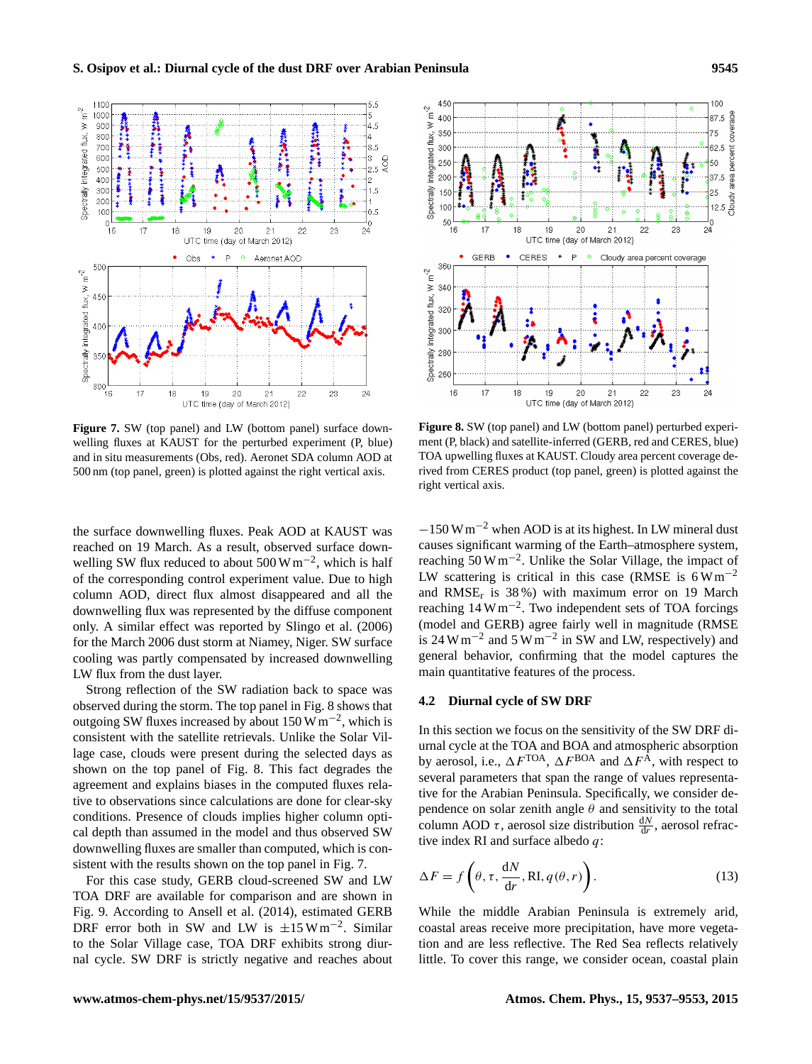<span id="page-8-0"></span>

Figure 7. SW (top panel) and LW (bottom panel) surface downwelling fluxes at KAUST for the perturbed experiment (P, blue) and in situ measurements (Obs, red). Aeronet SDA column AOD at 500 nm (top panel, green) is plotted against the right vertical axis.

the surface downwelling fluxes. Peak AOD at KAUST was reached on 19 March. As a result, observed surface downwelling SW flux reduced to about 500 W m<sup>-2</sup>, which is half of the corresponding control experiment value. Due to high column AOD, direct flux almost disappeared and all the downwelling flux was represented by the diffuse component only. A similar effect was reported by [Slingo et al.](#page-15-12) [\(2006\)](#page-15-12) for the March 2006 dust storm at Niamey, Niger. SW surface cooling was partly compensated by increased downwelling LW flux from the dust layer.

Strong reflection of the SW radiation back to space was observed during the storm. The top panel in Fig. [8](#page-8-1) shows that outgoing SW fluxes increased by about 150 W m−<sup>2</sup> , which is consistent with the satellite retrievals. Unlike the Solar Village case, clouds were present during the selected days as shown on the top panel of Fig. [8.](#page-8-1) This fact degrades the agreement and explains biases in the computed fluxes relative to observations since calculations are done for clear-sky conditions. Presence of clouds implies higher column optical depth than assumed in the model and thus observed SW downwelling fluxes are smaller than computed, which is consistent with the results shown on the top panel in Fig. [7.](#page-8-0)

For this case study, GERB cloud-screened SW and LW TOA DRF are available for comparison and are shown in Fig. [9.](#page-9-0) According to [Ansell et al.](#page-13-0) [\(2014\)](#page-13-0), estimated GERB DRF error both in SW and LW is  $\pm 15$  W m<sup>-2</sup>. Similar to the Solar Village case, TOA DRF exhibits strong diurnal cycle. SW DRF is strictly negative and reaches about

<span id="page-8-1"></span>

**Figure 8.** SW (top panel) and LW (bottom panel) perturbed experiment (P, black) and satellite-inferred (GERB, red and CERES, blue) TOA upwelling fluxes at KAUST. Cloudy area percent coverage derived from CERES product (top panel, green) is plotted against the right vertical axis.

 $-150$  W m<sup>-2</sup> when AOD is at its highest. In LW mineral dust causes significant warming of the Earth–atmosphere system, reaching 50 W m−<sup>2</sup> . Unlike the Solar Village, the impact of LW scattering is critical in this case (RMSE is  $6 W m^{-2}$ ) and  $RMSE_r$  is 38%) with maximum error on 19 March reaching 14 W m−<sup>2</sup> . Two independent sets of TOA forcings (model and GERB) agree fairly well in magnitude (RMSE is 24 W m<sup>-2</sup> and 5 W m<sup>-2</sup> in SW and LW, respectively) and general behavior, confirming that the model captures the main quantitative features of the process.

# <span id="page-8-2"></span>**4.2 Diurnal cycle of SW DRF**

In this section we focus on the sensitivity of the SW DRF diurnal cycle at the TOA and BOA and atmospheric absorption by aerosol, i.e.,  $\Delta F^{TOA}$ ,  $\Delta F^{BOA}$  and  $\Delta F^{\hat{A}}$ , with respect to several parameters that span the range of values representative for the Arabian Peninsula. Specifically, we consider dependence on solar zenith angle  $\theta$  and sensitivity to the total column AOD  $\tau$ , aerosol size distribution  $\frac{dN}{dr}$ , aerosol refractive index RI and surface albedo  $q$ :

$$
\Delta F = f\left(\theta, \tau, \frac{dN}{dr}, RI, q(\theta, r)\right).
$$
 (13)

While the middle Arabian Peninsula is extremely arid, coastal areas receive more precipitation, have more vegetation and are less reflective. The Red Sea reflects relatively little. To cover this range, we consider ocean, coastal plain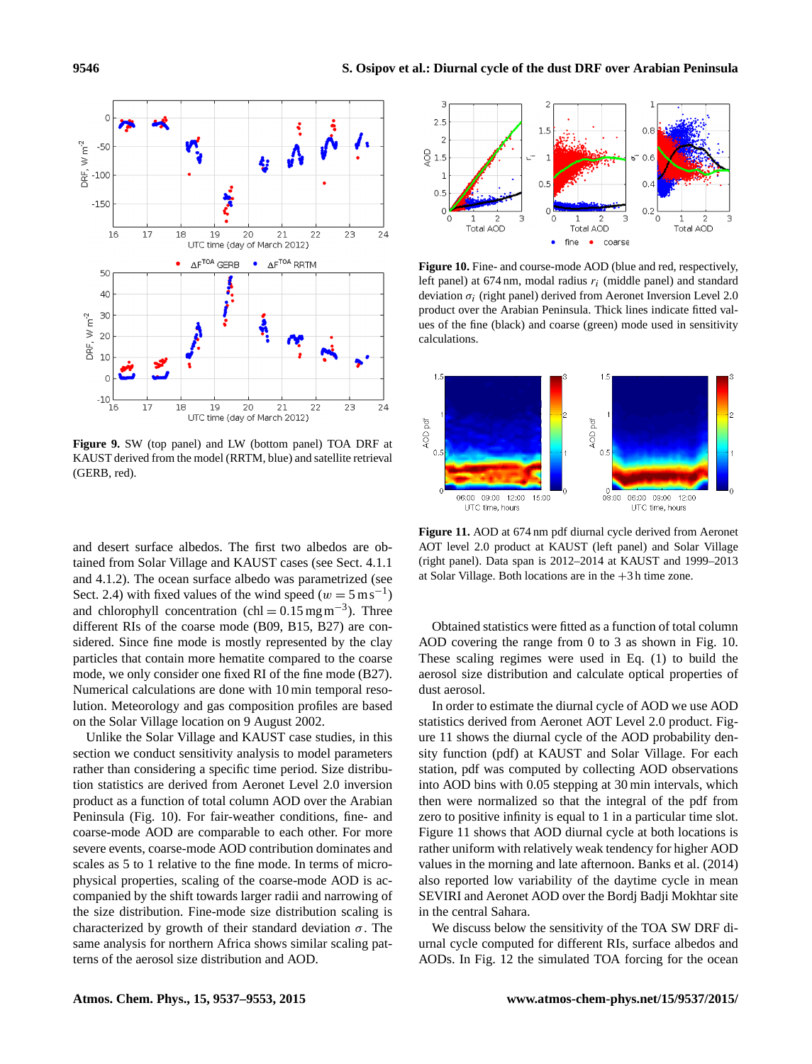<span id="page-9-0"></span>

**Figure 9.** SW (top panel) and LW (bottom panel) TOA DRF at KAUST derived from the model (RRTM, blue) and satellite retrieval (GERB, red).

and desert surface albedos. The first two albedos are obtained from Solar Village and KAUST cases (see Sect. [4.1.1](#page-5-2) and [4.1.2\)](#page-7-3). The ocean surface albedo was parametrized (see Sect. [2.4\)](#page-3-2) with fixed values of the wind speed ( $w = 5 \text{ m s}^{-1}$ ) and chlorophyll concentration (chl =  $0.15 \text{ mg m}^{-3}$ ). Three different RIs of the coarse mode (B09, B15, B27) are considered. Since fine mode is mostly represented by the clay particles that contain more hematite compared to the coarse mode, we only consider one fixed RI of the fine mode (B27). Numerical calculations are done with 10 min temporal resolution. Meteorology and gas composition profiles are based on the Solar Village location on 9 August 2002.

Unlike the Solar Village and KAUST case studies, in this section we conduct sensitivity analysis to model parameters rather than considering a specific time period. Size distribution statistics are derived from Aeronet Level 2.0 inversion product as a function of total column AOD over the Arabian Peninsula (Fig. [10\)](#page-9-1). For fair-weather conditions, fine- and coarse-mode AOD are comparable to each other. For more severe events, coarse-mode AOD contribution dominates and scales as 5 to 1 relative to the fine mode. In terms of microphysical properties, scaling of the coarse-mode AOD is accompanied by the shift towards larger radii and narrowing of the size distribution. Fine-mode size distribution scaling is characterized by growth of their standard deviation  $\sigma$ . The same analysis for northern Africa shows similar scaling patterns of the aerosol size distribution and AOD.

<span id="page-9-1"></span>

**Figure 10.** Fine- and course-mode AOD (blue and red, respectively, left panel) at  $674 \text{ nm}$ , modal radius  $r_i$  (middle panel) and standard deviation  $\sigma_i$  (right panel) derived from Aeronet Inversion Level 2.0 product over the Arabian Peninsula. Thick lines indicate fitted values of the fine (black) and coarse (green) mode used in sensitivity calculations.

<span id="page-9-2"></span>

**Figure 11.** AOD at 674 nm pdf diurnal cycle derived from Aeronet AOT level 2.0 product at KAUST (left panel) and Solar Village (right panel). Data span is 2012–2014 at KAUST and 1999–2013 at Solar Village. Both locations are in the +3 h time zone.

Obtained statistics were fitted as a function of total column AOD covering the range from 0 to 3 as shown in Fig. [10.](#page-9-1) These scaling regimes were used in Eq. [\(1\)](#page-2-0) to build the aerosol size distribution and calculate optical properties of dust aerosol.

In order to estimate the diurnal cycle of AOD we use AOD statistics derived from Aeronet AOT Level 2.0 product. Figure [11](#page-9-2) shows the diurnal cycle of the AOD probability density function (pdf) at KAUST and Solar Village. For each station, pdf was computed by collecting AOD observations into AOD bins with 0.05 stepping at 30 min intervals, which then were normalized so that the integral of the pdf from zero to positive infinity is equal to 1 in a particular time slot. Figure [11](#page-9-2) shows that AOD diurnal cycle at both locations is rather uniform with relatively weak tendency for higher AOD values in the morning and late afternoon. [Banks et al.](#page-14-8) [\(2014\)](#page-14-8) also reported low variability of the daytime cycle in mean SEVIRI and Aeronet AOD over the Bordj Badji Mokhtar site in the central Sahara.

We discuss below the sensitivity of the TOA SW DRF diurnal cycle computed for different RIs, surface albedos and AODs. In Fig. [12](#page-10-0) the simulated TOA forcing for the ocean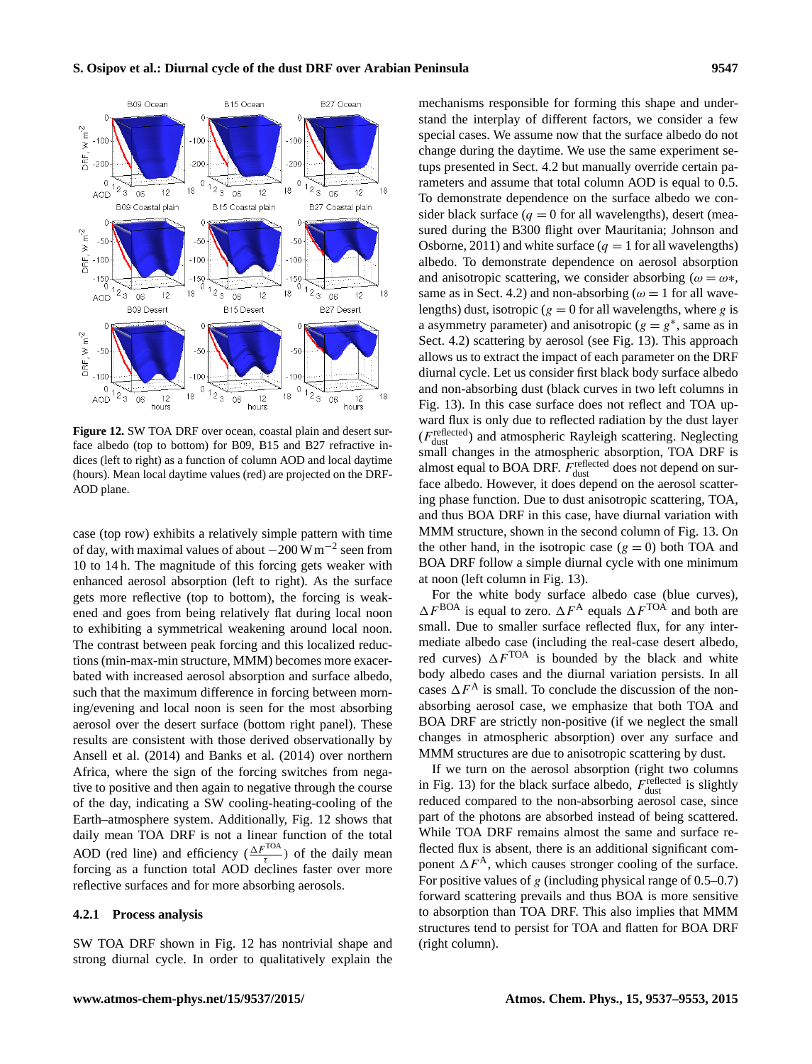<span id="page-10-0"></span>

**Figure 12.** SW TOA DRF over ocean, coastal plain and desert surface albedo (top to bottom) for B09, B15 and B27 refractive indices (left to right) as a function of column AOD and local daytime (hours). Mean local daytime values (red) are projected on the DRF-AOD plane.

case (top row) exhibits a relatively simple pattern with time of day, with maximal values of about  $-200 \,\mathrm{W\,m^{-2}}$  seen from 10 to 14 h. The magnitude of this forcing gets weaker with enhanced aerosol absorption (left to right). As the surface gets more reflective (top to bottom), the forcing is weakened and goes from being relatively flat during local noon to exhibiting a symmetrical weakening around local noon. The contrast between peak forcing and this localized reductions (min-max-min structure, MMM) becomes more exacerbated with increased aerosol absorption and surface albedo, such that the maximum difference in forcing between morning/evening and local noon is seen for the most absorbing aerosol over the desert surface (bottom right panel). These results are consistent with those derived observationally by [Ansell et al.](#page-13-0) [\(2014\)](#page-13-0) and [Banks et al.](#page-14-8) [\(2014\)](#page-14-8) over northern Africa, where the sign of the forcing switches from negative to positive and then again to negative through the course of the day, indicating a SW cooling-heating-cooling of the Earth–atmosphere system. Additionally, Fig. [12](#page-10-0) shows that daily mean TOA DRF is not a linear function of the total AOD (red line) and efficiency  $\left(\frac{\Delta F^{TOA}}{\tau}\right)$  of the daily mean forcing as a function total AOD declines faster over more reflective surfaces and for more absorbing aerosols.

#### <span id="page-10-1"></span>**4.2.1 Process analysis**

SW TOA DRF shown in Fig. [12](#page-10-0) has nontrivial shape and strong diurnal cycle. In order to qualitatively explain the

mechanisms responsible for forming this shape and understand the interplay of different factors, we consider a few special cases. We assume now that the surface albedo do not change during the daytime. We use the same experiment setups presented in Sect. [4.2](#page-8-2) but manually override certain parameters and assume that total column AOD is equal to 0.5. To demonstrate dependence on the surface albedo we consider black surface  $(q = 0$  for all wavelengths), desert (measured during the B300 flight over Mauritania; [Johnson and](#page-14-24) [Osborne,](#page-14-24) [2011\)](#page-14-24) and white surface  $(q = 1$  for all wavelengths) albedo. To demonstrate dependence on aerosol absorption and anisotropic scattering, we consider absorbing ( $\omega = \omega^*$ , same as in Sect. [4.2\)](#page-8-2) and non-absorbing ( $\omega = 1$  for all wavelengths) dust, isotropic ( $g = 0$  for all wavelengths, where g is a asymmetry parameter) and anisotropic ( $g = g^*$ , same as in Sect. [4.2\)](#page-8-2) scattering by aerosol (see Fig. [13\)](#page-11-1). This approach allows us to extract the impact of each parameter on the DRF diurnal cycle. Let us consider first black body surface albedo and non-absorbing dust (black curves in two left columns in Fig. [13\)](#page-11-1). In this case surface does not reflect and TOA upward flux is only due to reflected radiation by the dust layer  $(F_{\text{dust}}^{\text{reflected}})$  and atmospheric Rayleigh scattering. Neglecting small changes in the atmospheric absorption, TOA DRF is almost equal to BOA DRF.  $F_{\text{dust}}^{\text{reflected}}$  does not depend on surface albedo. However, it does depend on the aerosol scattering phase function. Due to dust anisotropic scattering, TOA, and thus BOA DRF in this case, have diurnal variation with MMM structure, shown in the second column of Fig. [13.](#page-11-1) On the other hand, in the isotropic case  $(g = 0)$  both TOA and BOA DRF follow a simple diurnal cycle with one minimum at noon (left column in Fig. [13\)](#page-11-1).

For the white body surface albedo case (blue curves),  $\Delta F^{\rm BOA}$  is equal to zero.  $\Delta F^{\rm A}$  equals  $\Delta F^{\rm TOA}$  and both are small. Due to smaller surface reflected flux, for any intermediate albedo case (including the real-case desert albedo, red curves)  $\Delta F^{TOA}$  is bounded by the black and white body albedo cases and the diurnal variation persists. In all cases  $\Delta F^{\mathbf{A}}$  is small. To conclude the discussion of the nonabsorbing aerosol case, we emphasize that both TOA and BOA DRF are strictly non-positive (if we neglect the small changes in atmospheric absorption) over any surface and MMM structures are due to anisotropic scattering by dust.

If we turn on the aerosol absorption (right two columns in Fig. [13\)](#page-11-1) for the black surface albedo,  $F_{\text{dust}}^{\text{reflected}}$  is slightly reduced compared to the non-absorbing aerosol case, since part of the photons are absorbed instead of being scattered. While TOA DRF remains almost the same and surface reflected flux is absent, there is an additional significant component  $\Delta F^{\mathcal{A}}$ , which causes stronger cooling of the surface. For positive values of g (including physical range of  $0.5-0.7$ ) forward scattering prevails and thus BOA is more sensitive to absorption than TOA DRF. This also implies that MMM structures tend to persist for TOA and flatten for BOA DRF (right column).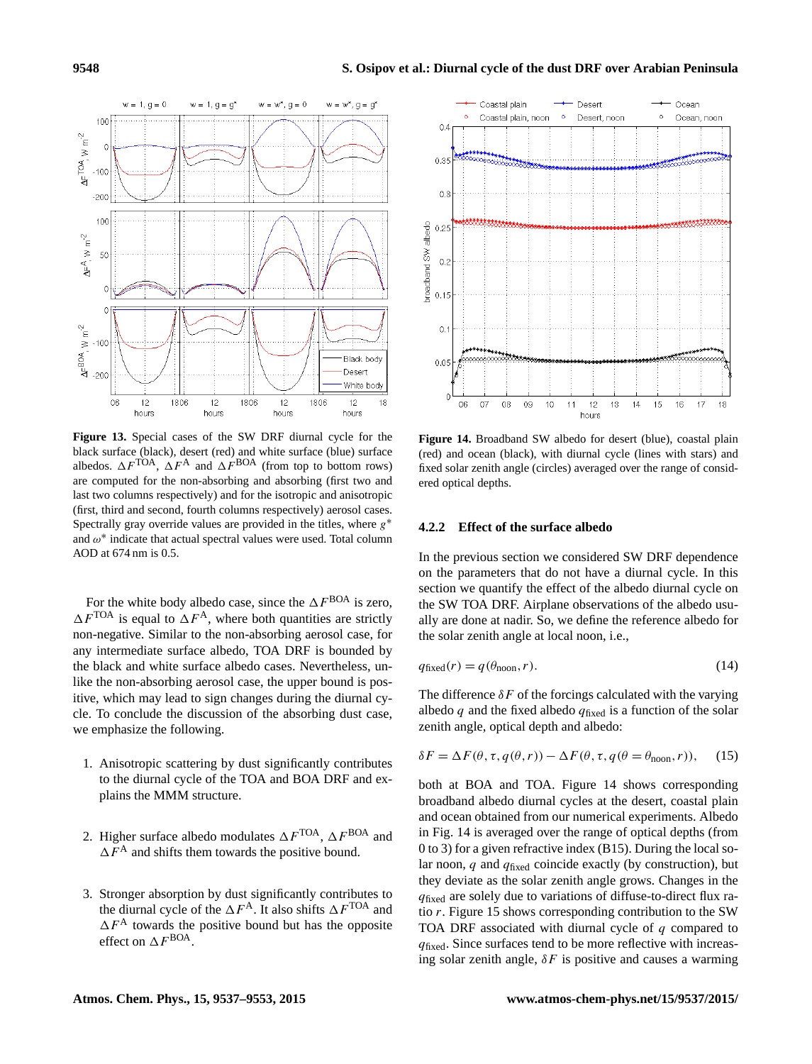<span id="page-11-1"></span>

**Figure 13.** Special cases of the SW DRF diurnal cycle for the black surface (black), desert (red) and white surface (blue) surface albedos.  $\Delta F^{TOA}$ ,  $\Delta F^{A}$  and  $\Delta F^{BOA}$  (from top to bottom rows) are computed for the non-absorbing and absorbing (first two and last two columns respectively) and for the isotropic and anisotropic (first, third and second, fourth columns respectively) aerosol cases. Spectrally gray override values are provided in the titles, where  $g^*$ and  $\omega^*$  indicate that actual spectral values were used. Total column AOD at 674 nm is 0.5.

For the white body albedo case, since the  $\Delta F^{\rm BOA}$  is zero,  $\Delta F^{TOA}$  is equal to  $\Delta F^{A}$ , where both quantities are strictly non-negative. Similar to the non-absorbing aerosol case, for any intermediate surface albedo, TOA DRF is bounded by the black and white surface albedo cases. Nevertheless, unlike the non-absorbing aerosol case, the upper bound is positive, which may lead to sign changes during the diurnal cycle. To conclude the discussion of the absorbing dust case, we emphasize the following.

- 1. Anisotropic scattering by dust significantly contributes to the diurnal cycle of the TOA and BOA DRF and explains the MMM structure.
- 2. Higher surface albedo modulates  $\Delta F^{\text{TOA}}$ ,  $\Delta F^{\text{BOA}}$  and  $\Delta F^{\text{A}}$  and shifts them towards the positive bound.
- 3. Stronger absorption by dust significantly contributes to the diurnal cycle of the  $\Delta F^{\text{A}}$ . It also shifts  $\Delta F^{\text{TOA}}$  and  $\Delta F^{\text{A}}$  towards the positive bound but has the opposite effect on  $\Delta F^{\rm BOA}$ .

<span id="page-11-2"></span>

**Figure 14.** Broadband SW albedo for desert (blue), coastal plain (red) and ocean (black), with diurnal cycle (lines with stars) and fixed solar zenith angle (circles) averaged over the range of considered optical depths.

# <span id="page-11-0"></span>**4.2.2 Effect of the surface albedo**

In the previous section we considered SW DRF dependence on the parameters that do not have a diurnal cycle. In this section we quantify the effect of the albedo diurnal cycle on the SW TOA DRF. Airplane observations of the albedo usually are done at nadir. So, we define the reference albedo for the solar zenith angle at local noon, i.e.,

$$
q_{\text{fixed}}(r) = q(\theta_{\text{noon}}, r). \tag{14}
$$

The difference  $\delta F$  of the forcings calculated with the varying albedo q and the fixed albedo  $q_{\text{fixed}}$  is a function of the solar zenith angle, optical depth and albedo:

$$
\delta F = \Delta F(\theta, \tau, q(\theta, r)) - \Delta F(\theta, \tau, q(\theta = \theta_{\text{noon}}, r)), \quad (15)
$$

both at BOA and TOA. Figure [14](#page-11-2) shows corresponding broadband albedo diurnal cycles at the desert, coastal plain and ocean obtained from our numerical experiments. Albedo in Fig. [14](#page-11-2) is averaged over the range of optical depths (from 0 to 3) for a given refractive index (B15). During the local solar noon, q and  $q_{\text{fixed}}$  coincide exactly (by construction), but they deviate as the solar zenith angle grows. Changes in the  $q_{\text{fixed}}$  are solely due to variations of diffuse-to-direct flux ratio r. Figure [15](#page-12-0) shows corresponding contribution to the SW TOA DRF associated with diurnal cycle of  $q$  compared to  $q$ <sub>fixed</sub>. Since surfaces tend to be more reflective with increasing solar zenith angle,  $\delta F$  is positive and causes a warming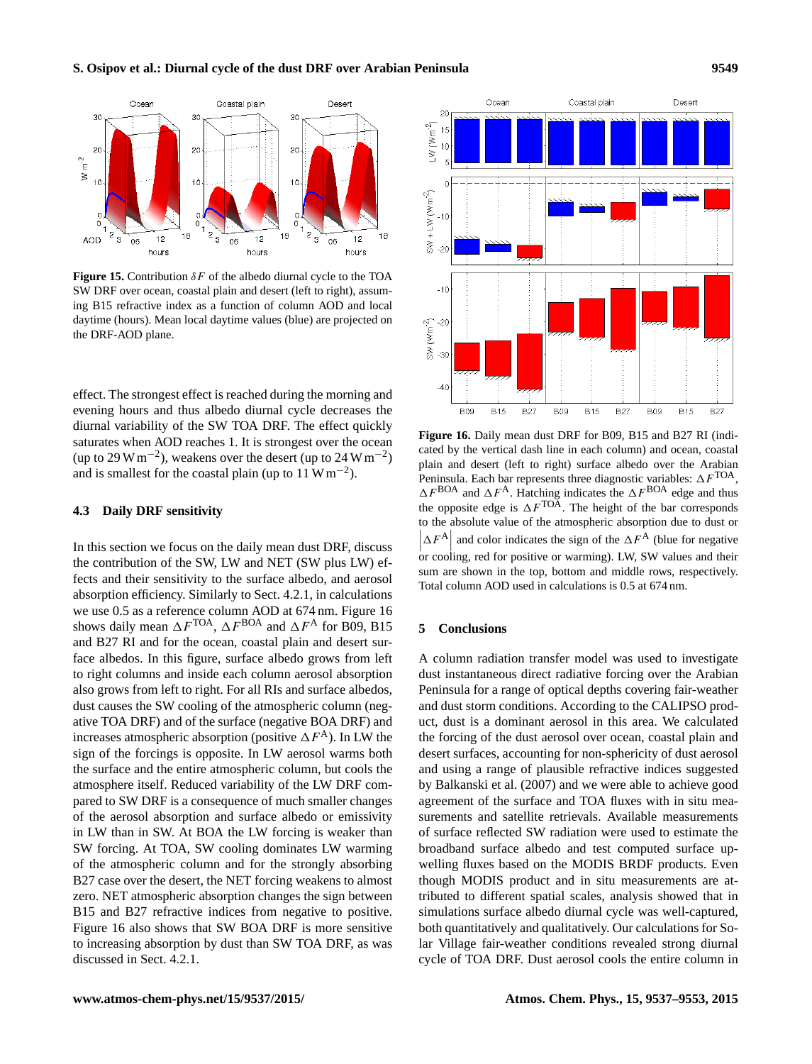<span id="page-12-0"></span>

**Figure 15.** Contribution  $\delta F$  of the albedo diurnal cycle to the TOA SW DRF over ocean, coastal plain and desert (left to right), assuming B15 refractive index as a function of column AOD and local daytime (hours). Mean local daytime values (blue) are projected on the DRF-AOD plane.

effect. The strongest effect is reached during the morning and evening hours and thus albedo diurnal cycle decreases the diurnal variability of the SW TOA DRF. The effect quickly saturates when AOD reaches 1. It is strongest over the ocean (up to 29 W m<sup>-2</sup>), weakens over the desert (up to 24 W m<sup>-2</sup>) and is smallest for the coastal plain (up to  $11 \text{ W m}^{-2}$ ).

# **4.3 Daily DRF sensitivity**

In this section we focus on the daily mean dust DRF, discuss the contribution of the SW, LW and NET (SW plus LW) effects and their sensitivity to the surface albedo, and aerosol absorption efficiency. Similarly to Sect. [4.2.1,](#page-10-1) in calculations we use 0.5 as a reference column AOD at 674 nm. Figure [16](#page-12-1) shows daily mean  $\Delta F^{TOA}$ ,  $\Delta F^{BOA}$  and  $\Delta F^{A}$  for B09, B15 and B27 RI and for the ocean, coastal plain and desert surface albedos. In this figure, surface albedo grows from left to right columns and inside each column aerosol absorption also grows from left to right. For all RIs and surface albedos, dust causes the SW cooling of the atmospheric column (negative TOA DRF) and of the surface (negative BOA DRF) and increases atmospheric absorption (positive  $\Delta F^A$ ). In LW the sign of the forcings is opposite. In LW aerosol warms both the surface and the entire atmospheric column, but cools the atmosphere itself. Reduced variability of the LW DRF compared to SW DRF is a consequence of much smaller changes of the aerosol absorption and surface albedo or emissivity in LW than in SW. At BOA the LW forcing is weaker than SW forcing. At TOA, SW cooling dominates LW warming of the atmospheric column and for the strongly absorbing B27 case over the desert, the NET forcing weakens to almost zero. NET atmospheric absorption changes the sign between B15 and B27 refractive indices from negative to positive. Figure [16](#page-12-1) also shows that SW BOA DRF is more sensitive to increasing absorption by dust than SW TOA DRF, as was discussed in Sect. [4.2.1.](#page-10-1)

<span id="page-12-1"></span>

**Figure 16.** Daily mean dust DRF for B09, B15 and B27 RI (indicated by the vertical dash line in each column) and ocean, coastal plain and desert (left to right) surface albedo over the Arabian Peninsula. Each bar represents three diagnostic variables:  $\Delta F^{\text{TOA}}$ ,  $\Delta F^{\text{BOA}}$  and  $\Delta F^{\text{A}}$ . Hatching indicates the  $\Delta F^{\text{BOA}}$  edge and thus the opposite edge is  $\Delta F<sup>TOA</sup>$ . The height of the bar corresponds to the absolute value of the atmospheric absorption due to dust or  $\left| \Delta F^{\rm A} \right|$  or cooling, red for positive or warming). LW, SW values and their and color indicates the sign of the  $\Delta F^{\mathcal{A}}$  (blue for negative sum are shown in the top, bottom and middle rows, respectively. Total column AOD used in calculations is 0.5 at 674 nm.

# **5 Conclusions**

A column radiation transfer model was used to investigate dust instantaneous direct radiative forcing over the Arabian Peninsula for a range of optical depths covering fair-weather and dust storm conditions. According to the CALIPSO product, dust is a dominant aerosol in this area. We calculated the forcing of the dust aerosol over ocean, coastal plain and desert surfaces, accounting for non-sphericity of dust aerosol and using a range of plausible refractive indices suggested by [Balkanski et al.](#page-13-1) [\(2007\)](#page-13-1) and we were able to achieve good agreement of the surface and TOA fluxes with in situ measurements and satellite retrievals. Available measurements of surface reflected SW radiation were used to estimate the broadband surface albedo and test computed surface upwelling fluxes based on the MODIS BRDF products. Even though MODIS product and in situ measurements are attributed to different spatial scales, analysis showed that in simulations surface albedo diurnal cycle was well-captured, both quantitatively and qualitatively. Our calculations for Solar Village fair-weather conditions revealed strong diurnal cycle of TOA DRF. Dust aerosol cools the entire column in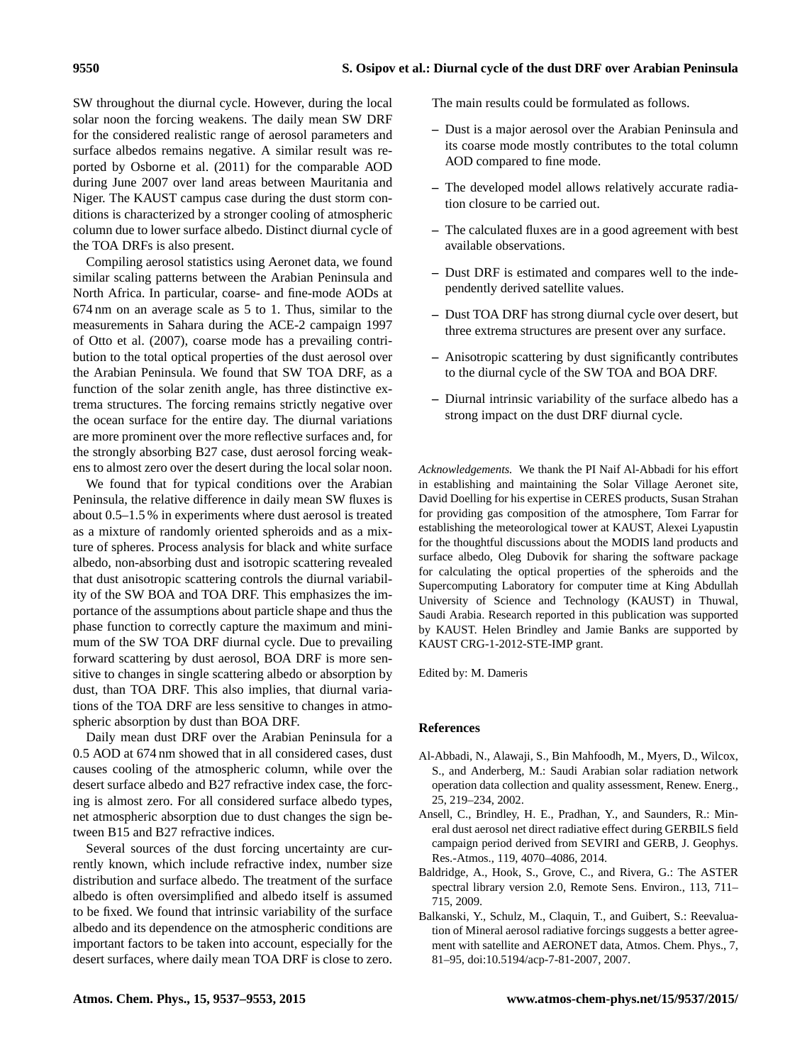SW throughout the diurnal cycle. However, during the local solar noon the forcing weakens. The daily mean SW DRF for the considered realistic range of aerosol parameters and surface albedos remains negative. A similar result was reported by [Osborne et al.](#page-15-13) [\(2011\)](#page-15-13) for the comparable AOD during June 2007 over land areas between Mauritania and Niger. The KAUST campus case during the dust storm conditions is characterized by a stronger cooling of atmospheric column due to lower surface albedo. Distinct diurnal cycle of the TOA DRFs is also present.

Compiling aerosol statistics using Aeronet data, we found similar scaling patterns between the Arabian Peninsula and North Africa. In particular, coarse- and fine-mode AODs at 674 nm on an average scale as 5 to 1. Thus, similar to the measurements in Sahara during the ACE-2 campaign 1997 of [Otto et al.](#page-15-11) [\(2007\)](#page-15-11), coarse mode has a prevailing contribution to the total optical properties of the dust aerosol over the Arabian Peninsula. We found that SW TOA DRF, as a function of the solar zenith angle, has three distinctive extrema structures. The forcing remains strictly negative over the ocean surface for the entire day. The diurnal variations are more prominent over the more reflective surfaces and, for the strongly absorbing B27 case, dust aerosol forcing weakens to almost zero over the desert during the local solar noon.

We found that for typical conditions over the Arabian Peninsula, the relative difference in daily mean SW fluxes is about 0.5–1.5 % in experiments where dust aerosol is treated as a mixture of randomly oriented spheroids and as a mixture of spheres. Process analysis for black and white surface albedo, non-absorbing dust and isotropic scattering revealed that dust anisotropic scattering controls the diurnal variability of the SW BOA and TOA DRF. This emphasizes the importance of the assumptions about particle shape and thus the phase function to correctly capture the maximum and minimum of the SW TOA DRF diurnal cycle. Due to prevailing forward scattering by dust aerosol, BOA DRF is more sensitive to changes in single scattering albedo or absorption by dust, than TOA DRF. This also implies, that diurnal variations of the TOA DRF are less sensitive to changes in atmospheric absorption by dust than BOA DRF.

Daily mean dust DRF over the Arabian Peninsula for a 0.5 AOD at 674 nm showed that in all considered cases, dust causes cooling of the atmospheric column, while over the desert surface albedo and B27 refractive index case, the forcing is almost zero. For all considered surface albedo types, net atmospheric absorption due to dust changes the sign between B15 and B27 refractive indices.

Several sources of the dust forcing uncertainty are currently known, which include refractive index, number size distribution and surface albedo. The treatment of the surface albedo is often oversimplified and albedo itself is assumed to be fixed. We found that intrinsic variability of the surface albedo and its dependence on the atmospheric conditions are important factors to be taken into account, especially for the desert surfaces, where daily mean TOA DRF is close to zero. The main results could be formulated as follows.

- **–** Dust is a major aerosol over the Arabian Peninsula and its coarse mode mostly contributes to the total column AOD compared to fine mode.
- **–** The developed model allows relatively accurate radiation closure to be carried out.
- **–** The calculated fluxes are in a good agreement with best available observations.
- **–** Dust DRF is estimated and compares well to the independently derived satellite values.
- **–** Dust TOA DRF has strong diurnal cycle over desert, but three extrema structures are present over any surface.
- **–** Anisotropic scattering by dust significantly contributes to the diurnal cycle of the SW TOA and BOA DRF.
- **–** Diurnal intrinsic variability of the surface albedo has a strong impact on the dust DRF diurnal cycle.

*Acknowledgements.* We thank the PI Naif Al-Abbadi for his effort in establishing and maintaining the Solar Village Aeronet site, David Doelling for his expertise in CERES products, Susan Strahan for providing gas composition of the atmosphere, Tom Farrar for establishing the meteorological tower at KAUST, Alexei Lyapustin for the thoughtful discussions about the MODIS land products and surface albedo, Oleg Dubovik for sharing the software package for calculating the optical properties of the spheroids and the Supercomputing Laboratory for computer time at King Abdullah University of Science and Technology (KAUST) in Thuwal, Saudi Arabia. Research reported in this publication was supported by KAUST. Helen Brindley and Jamie Banks are supported by KAUST CRG-1-2012-STE-IMP grant.

Edited by: M. Dameris

## **References**

- <span id="page-13-3"></span>Al-Abbadi, N., Alawaji, S., Bin Mahfoodh, M., Myers, D., Wilcox, S., and Anderberg, M.: Saudi Arabian solar radiation network operation data collection and quality assessment, Renew. Energ., 25, 219–234, 2002.
- <span id="page-13-0"></span>Ansell, C., Brindley, H. E., Pradhan, Y., and Saunders, R.: Mineral dust aerosol net direct radiative effect during GERBILS field campaign period derived from SEVIRI and GERB, J. Geophys. Res.-Atmos., 119, 4070–4086, 2014.
- <span id="page-13-2"></span>Baldridge, A., Hook, S., Grove, C., and Rivera, G.: The ASTER spectral library version 2.0, Remote Sens. Environ., 113, 711– 715, 2009.
- <span id="page-13-1"></span>Balkanski, Y., Schulz, M., Claquin, T., and Guibert, S.: Reevaluation of Mineral aerosol radiative forcings suggests a better agreement with satellite and AERONET data, Atmos. Chem. Phys., 7, 81–95, doi[:10.5194/acp-7-81-2007,](http://dx.doi.org/10.5194/acp-7-81-2007) 2007.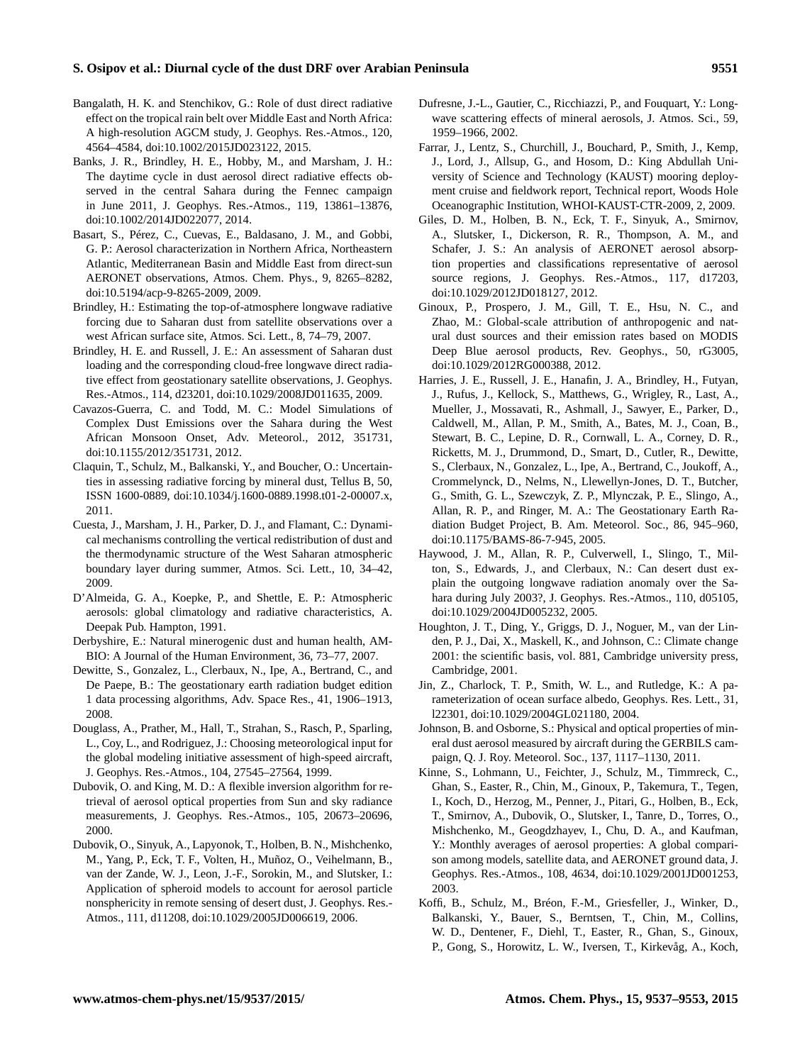- <span id="page-14-3"></span>Bangalath, H. K. and Stenchikov, G.: Role of dust direct radiative effect on the tropical rain belt over Middle East and North Africa: A high-resolution AGCM study, J. Geophys. Res.-Atmos., 120, 4564–4584, doi[:10.1002/2015JD023122,](http://dx.doi.org/10.1002/2015JD023122) 2015.
- <span id="page-14-8"></span>Banks, J. R., Brindley, H. E., Hobby, M., and Marsham, J. H.: The daytime cycle in dust aerosol direct radiative effects observed in the central Sahara during the Fennec campaign in June 2011, J. Geophys. Res.-Atmos., 119, 13861–13876, doi[:10.1002/2014JD022077,](http://dx.doi.org/10.1002/2014JD022077) 2014.
- <span id="page-14-11"></span>Basart, S., Pérez, C., Cuevas, E., Baldasano, J. M., and Gobbi, G. P.: Aerosol characterization in Northern Africa, Northeastern Atlantic, Mediterranean Basin and Middle East from direct-sun AERONET observations, Atmos. Chem. Phys., 9, 8265–8282, doi[:10.5194/acp-9-8265-2009,](http://dx.doi.org/10.5194/acp-9-8265-2009) 2009.
- <span id="page-14-22"></span>Brindley, H.: Estimating the top-of-atmosphere longwave radiative forcing due to Saharan dust from satellite observations over a west African surface site, Atmos. Sci. Lett., 8, 74–79, 2007.
- <span id="page-14-21"></span>Brindley, H. E. and Russell, J. E.: An assessment of Saharan dust loading and the corresponding cloud-free longwave direct radiative effect from geostationary satellite observations, J. Geophys. Res.-Atmos., 114, d23201, doi[:10.1029/2008JD011635,](http://dx.doi.org/10.1029/2008JD011635) 2009.
- <span id="page-14-2"></span>Cavazos-Guerra, C. and Todd, M. C.: Model Simulations of Complex Dust Emissions over the Sahara during the West African Monsoon Onset, Adv. Meteorol., 2012, 351731, doi[:10.1155/2012/351731,](http://dx.doi.org/10.1155/2012/351731) 2012.
- <span id="page-14-0"></span>Claquin, T., Schulz, M., Balkanski, Y., and Boucher, O.: Uncertainties in assessing radiative forcing by mineral dust, Tellus B, 50, ISSN 1600-0889, doi[:10.1034/j.1600-0889.1998.t01-2-00007.x,](http://dx.doi.org/10.1034/j.1600-0889.1998.t01-2-00007.x) 2011.
- <span id="page-14-1"></span>Cuesta, J., Marsham, J. H., Parker, D. J., and Flamant, C.: Dynamical mechanisms controlling the vertical redistribution of dust and the thermodynamic structure of the West Saharan atmospheric boundary layer during summer, Atmos. Sci. Lett., 10, 34–42, 2009.
- <span id="page-14-15"></span>D'Almeida, G. A., Koepke, P., and Shettle, E. P.: Atmospheric aerosols: global climatology and radiative characteristics, A. Deepak Pub. Hampton, 1991.
- <span id="page-14-4"></span>Derbyshire, E.: Natural minerogenic dust and human health, AM-BIO: A Journal of the Human Environment, 36, 73–77, 2007.
- <span id="page-14-20"></span>Dewitte, S., Gonzalez, L., Clerbaux, N., Ipe, A., Bertrand, C., and De Paepe, B.: The geostationary earth radiation budget edition 1 data processing algorithms, Adv. Space Res., 41, 1906–1913, 2008.
- <span id="page-14-12"></span>Douglass, A., Prather, M., Hall, T., Strahan, S., Rasch, P., Sparling, L., Coy, L., and Rodriguez, J.: Choosing meteorological input for the global modeling initiative assessment of high-speed aircraft, J. Geophys. Res.-Atmos., 104, 27545–27564, 1999.
- <span id="page-14-16"></span>Dubovik, O. and King, M. D.: A flexible inversion algorithm for retrieval of aerosol optical properties from Sun and sky radiance measurements, J. Geophys. Res.-Atmos., 105, 20673–20696, 2000.
- <span id="page-14-13"></span>Dubovik, O., Sinyuk, A., Lapyonok, T., Holben, B. N., Mishchenko, M., Yang, P., Eck, T. F., Volten, H., Muñoz, O., Veihelmann, B., van der Zande, W. J., Leon, J.-F., Sorokin, M., and Slutsker, I.: Application of spheroid models to account for aerosol particle nonsphericity in remote sensing of desert dust, J. Geophys. Res.- Atmos., 111, d11208, doi[:10.1029/2005JD006619,](http://dx.doi.org/10.1029/2005JD006619) 2006.
- <span id="page-14-23"></span>Dufresne, J.-L., Gautier, C., Ricchiazzi, P., and Fouquart, Y.: Longwave scattering effects of mineral aerosols, J. Atmos. Sci., 59, 1959–1966, 2002.
- <span id="page-14-18"></span>Farrar, J., Lentz, S., Churchill, J., Bouchard, P., Smith, J., Kemp, J., Lord, J., Allsup, G., and Hosom, D.: King Abdullah University of Science and Technology (KAUST) mooring deployment cruise and fieldwork report, Technical report, Woods Hole Oceanographic Institution, WHOI-KAUST-CTR-2009, 2, 2009.
- <span id="page-14-10"></span>Giles, D. M., Holben, B. N., Eck, T. F., Sinyuk, A., Smirnov, A., Slutsker, I., Dickerson, R. R., Thompson, A. M., and Schafer, J. S.: An analysis of AERONET aerosol absorption properties and classifications representative of aerosol source regions, J. Geophys. Res.-Atmos., 117, d17203, doi[:10.1029/2012JD018127,](http://dx.doi.org/10.1029/2012JD018127) 2012.
- <span id="page-14-6"></span>Ginoux, P., Prospero, J. M., Gill, T. E., Hsu, N. C., and Zhao, M.: Global-scale attribution of anthropogenic and natural dust sources and their emission rates based on MODIS Deep Blue aerosol products, Rev. Geophys., 50, rG3005, doi[:10.1029/2012RG000388,](http://dx.doi.org/10.1029/2012RG000388) 2012.
- <span id="page-14-19"></span>Harries, J. E., Russell, J. E., Hanafin, J. A., Brindley, H., Futyan, J., Rufus, J., Kellock, S., Matthews, G., Wrigley, R., Last, A., Mueller, J., Mossavati, R., Ashmall, J., Sawyer, E., Parker, D., Caldwell, M., Allan, P. M., Smith, A., Bates, M. J., Coan, B., Stewart, B. C., Lepine, D. R., Cornwall, L. A., Corney, D. R., Ricketts, M. J., Drummond, D., Smart, D., Cutler, R., Dewitte, S., Clerbaux, N., Gonzalez, L., Ipe, A., Bertrand, C., Joukoff, A., Crommelynck, D., Nelms, N., Llewellyn-Jones, D. T., Butcher, G., Smith, G. L., Szewczyk, Z. P., Mlynczak, P. E., Slingo, A., Allan, R. P., and Ringer, M. A.: The Geostationary Earth Radiation Budget Project, B. Am. Meteorol. Soc., 86, 945–960, doi[:10.1175/BAMS-86-7-945,](http://dx.doi.org/10.1175/BAMS-86-7-945) 2005.
- <span id="page-14-14"></span>Haywood, J. M., Allan, R. P., Culverwell, I., Slingo, T., Milton, S., Edwards, J., and Clerbaux, N.: Can desert dust explain the outgoing longwave radiation anomaly over the Sahara during July 2003?, J. Geophys. Res.-Atmos., 110, d05105, doi[:10.1029/2004JD005232,](http://dx.doi.org/10.1029/2004JD005232) 2005.
- <span id="page-14-17"></span>Houghton, J. T., Ding, Y., Griggs, D. J., Noguer, M., van der Linden, P. J., Dai, X., Maskell, K., and Johnson, C.: Climate change 2001: the scientific basis, vol. 881, Cambridge university press, Cambridge, 2001.
- <span id="page-14-7"></span>Jin, Z., Charlock, T. P., Smith, W. L., and Rutledge, K.: A parameterization of ocean surface albedo, Geophys. Res. Lett., 31, l22301, doi[:10.1029/2004GL021180,](http://dx.doi.org/10.1029/2004GL021180) 2004.
- <span id="page-14-24"></span>Johnson, B. and Osborne, S.: Physical and optical properties of mineral dust aerosol measured by aircraft during the GERBILS campaign, Q. J. Roy. Meteorol. Soc., 137, 1117–1130, 2011.
- <span id="page-14-9"></span>Kinne, S., Lohmann, U., Feichter, J., Schulz, M., Timmreck, C., Ghan, S., Easter, R., Chin, M., Ginoux, P., Takemura, T., Tegen, I., Koch, D., Herzog, M., Penner, J., Pitari, G., Holben, B., Eck, T., Smirnov, A., Dubovik, O., Slutsker, I., Tanre, D., Torres, O., Mishchenko, M., Geogdzhayev, I., Chu, D. A., and Kaufman, Y.: Monthly averages of aerosol properties: A global comparison among models, satellite data, and AERONET ground data, J. Geophys. Res.-Atmos., 108, 4634, doi[:10.1029/2001JD001253,](http://dx.doi.org/10.1029/2001JD001253) 2003.
- <span id="page-14-5"></span>Koffi, B., Schulz, M., Bréon, F.-M., Griesfeller, J., Winker, D., Balkanski, Y., Bauer, S., Berntsen, T., Chin, M., Collins, W. D., Dentener, F., Diehl, T., Easter, R., Ghan, S., Ginoux, P., Gong, S., Horowitz, L. W., Iversen, T., Kirkevåg, A., Koch,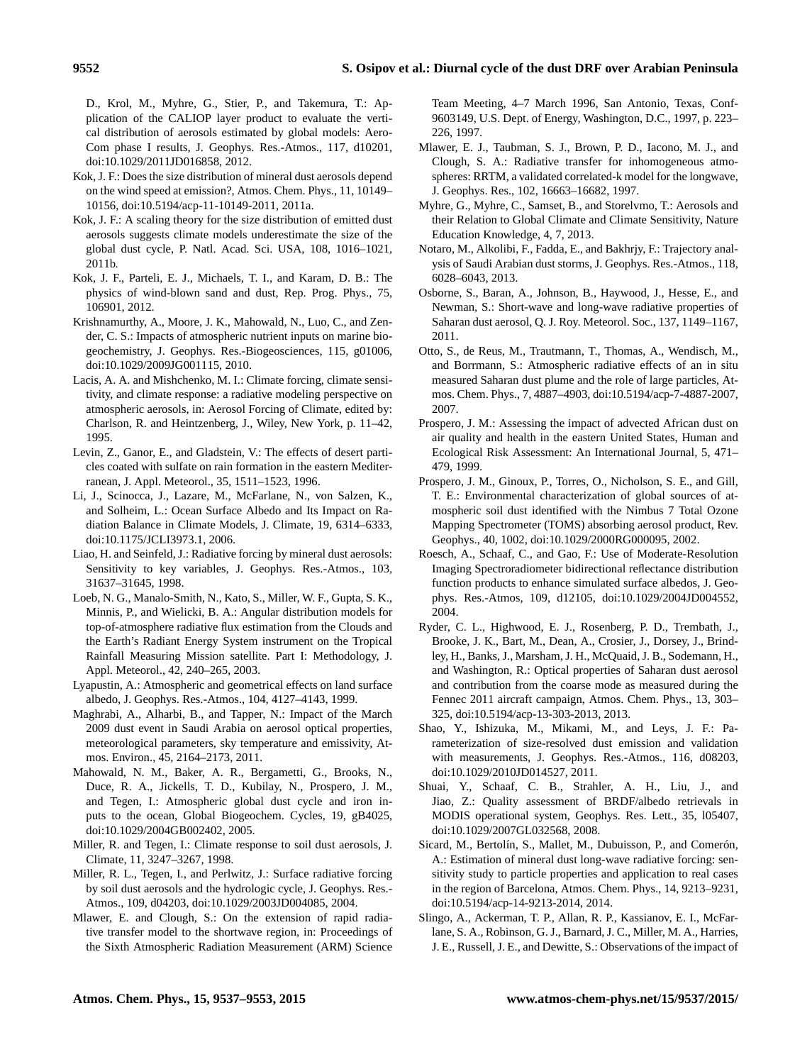D., Krol, M., Myhre, G., Stier, P., and Takemura, T.: Application of the CALIOP layer product to evaluate the vertical distribution of aerosols estimated by global models: Aero-Com phase I results, J. Geophys. Res.-Atmos., 117, d10201, doi[:10.1029/2011JD016858,](http://dx.doi.org/10.1029/2011JD016858) 2012.

- <span id="page-15-7"></span>Kok, J. F.: Does the size distribution of mineral dust aerosols depend on the wind speed at emission?, Atmos. Chem. Phys., 11, 10149– 10156, doi[:10.5194/acp-11-10149-2011,](http://dx.doi.org/10.5194/acp-11-10149-2011) 2011a.
- <span id="page-15-8"></span>Kok, J. F.: A scaling theory for the size distribution of emitted dust aerosols suggests climate models underestimate the size of the global dust cycle, P. Natl. Acad. Sci. USA, 108, 1016–1021, 2011b.
- <span id="page-15-9"></span>Kok, J. F., Parteli, E. J., Michaels, T. I., and Karam, D. B.: The physics of wind-blown sand and dust, Rep. Prog. Phys., 75, 106901, 2012.
- <span id="page-15-4"></span>Krishnamurthy, A., Moore, J. K., Mahowald, N., Luo, C., and Zender, C. S.: Impacts of atmospheric nutrient inputs on marine biogeochemistry, J. Geophys. Res.-Biogeosciences, 115, g01006, doi[:10.1029/2009JG001115,](http://dx.doi.org/10.1029/2009JG001115) 2010.
- <span id="page-15-23"></span>Lacis, A. A. and Mishchenko, M. I.: Climate forcing, climate sensitivity, and climate response: a radiative modeling perspective on atmospheric aerosols, in: Aerosol Forcing of Climate, edited by: Charlson, R. and Heintzenberg, J., Wiley, New York, p. 11–42, 1995.
- <span id="page-15-1"></span>Levin, Z., Ganor, E., and Gladstein, V.: The effects of desert particles coated with sulfate on rain formation in the eastern Mediterranean, J. Appl. Meteorol., 35, 1511–1523, 1996.
- <span id="page-15-17"></span>Li, J., Scinocca, J., Lazare, M., McFarlane, N., von Salzen, K., and Solheim, L.: Ocean Surface Albedo and Its Impact on Radiation Balance in Climate Models, J. Climate, 19, 6314–6333, doi[:10.1175/JCLI3973.1,](http://dx.doi.org/10.1175/JCLI3973.1) 2006.
- <span id="page-15-24"></span>Liao, H. and Seinfeld, J.: Radiative forcing by mineral dust aerosols: Sensitivity to key variables, J. Geophys. Res.-Atmos., 103, 31637–31645, 1998.
- <span id="page-15-26"></span>Loeb, N. G., Manalo-Smith, N., Kato, S., Miller, W. F., Gupta, S. K., Minnis, P., and Wielicki, B. A.: Angular distribution models for top-of-atmosphere radiative flux estimation from the Clouds and the Earth's Radiant Energy System instrument on the Tropical Rainfall Measuring Mission satellite. Part I: Methodology, J. Appl. Meteorol., 42, 240–265, 2003.
- <span id="page-15-19"></span>Lyapustin, A.: Atmospheric and geometrical effects on land surface albedo, J. Geophys. Res.-Atmos., 104, 4127–4143, 1999.
- <span id="page-15-16"></span>Maghrabi, A., Alharbi, B., and Tapper, N.: Impact of the March 2009 dust event in Saudi Arabia on aerosol optical properties, meteorological parameters, sky temperature and emissivity, Atmos. Environ., 45, 2164–2173, 2011.
- <span id="page-15-5"></span>Mahowald, N. M., Baker, A. R., Bergametti, G., Brooks, N., Duce, R. A., Jickells, T. D., Kubilay, N., Prospero, J. M., and Tegen, I.: Atmospheric global dust cycle and iron inputs to the ocean, Global Biogeochem. Cycles, 19, gB4025, doi[:10.1029/2004GB002402,](http://dx.doi.org/10.1029/2004GB002402) 2005.
- <span id="page-15-3"></span>Miller, R. and Tegen, I.: Climate response to soil dust aerosols, J. Climate, 11, 3247–3267, 1998.
- <span id="page-15-2"></span>Miller, R. L., Tegen, I., and Perlwitz, J.: Surface radiative forcing by soil dust aerosols and the hydrologic cycle, J. Geophys. Res.- Atmos., 109, d04203, doi[:10.1029/2003JD004085,](http://dx.doi.org/10.1029/2003JD004085) 2004.
- <span id="page-15-22"></span>Mlawer, E. and Clough, S.: On the extension of rapid radiative transfer model to the shortwave region, in: Proceedings of the Sixth Atmospheric Radiation Measurement (ARM) Science

Team Meeting, 4–7 March 1996, San Antonio, Texas, Conf-9603149, U.S. Dept. of Energy, Washington, D.C., 1997, p. 223– 226, 1997.

- <span id="page-15-21"></span>Mlawer, E. J., Taubman, S. J., Brown, P. D., Iacono, M. J., and Clough, S. A.: Radiative transfer for inhomogeneous atmospheres: RRTM, a validated correlated-k model for the longwave, J. Geophys. Res., 102, 16663–16682, 1997.
- <span id="page-15-0"></span>Myhre, G., Myhre, C., Samset, B., and Storelvmo, T.: Aerosols and their Relation to Global Climate and Climate Sensitivity, Nature Education Knowledge, 4, 7, 2013.
- <span id="page-15-15"></span>Notaro, M., Alkolibi, F., Fadda, E., and Bakhrjy, F.: Trajectory analysis of Saudi Arabian dust storms, J. Geophys. Res.-Atmos., 118, 6028–6043, 2013.
- <span id="page-15-13"></span>Osborne, S., Baran, A., Johnson, B., Haywood, J., Hesse, E., and Newman, S.: Short-wave and long-wave radiative properties of Saharan dust aerosol, Q. J. Roy. Meteorol. Soc., 137, 1149–1167, 2011.
- <span id="page-15-11"></span>Otto, S., de Reus, M., Trautmann, T., Thomas, A., Wendisch, M., and Borrmann, S.: Atmospheric radiative effects of an in situ measured Saharan dust plume and the role of large particles, Atmos. Chem. Phys., 7, 4887–4903, doi[:10.5194/acp-7-4887-2007,](http://dx.doi.org/10.5194/acp-7-4887-2007) 2007.
- <span id="page-15-6"></span>Prospero, J. M.: Assessing the impact of advected African dust on air quality and health in the eastern United States, Human and Ecological Risk Assessment: An International Journal, 5, 471– 479, 1999.
- <span id="page-15-20"></span>Prospero, J. M., Ginoux, P., Torres, O., Nicholson, S. E., and Gill, T. E.: Environmental characterization of global sources of atmospheric soil dust identified with the Nimbus 7 Total Ozone Mapping Spectrometer (TOMS) absorbing aerosol product, Rev. Geophys., 40, 1002, doi[:10.1029/2000RG000095,](http://dx.doi.org/10.1029/2000RG000095) 2002.
- <span id="page-15-18"></span>Roesch, A., Schaaf, C., and Gao, F.: Use of Moderate-Resolution Imaging Spectroradiometer bidirectional reflectance distribution function products to enhance simulated surface albedos, J. Geophys. Res.-Atmos, 109, d12105, doi[:10.1029/2004JD004552,](http://dx.doi.org/10.1029/2004JD004552) 2004.
- <span id="page-15-14"></span>Ryder, C. L., Highwood, E. J., Rosenberg, P. D., Trembath, J., Brooke, J. K., Bart, M., Dean, A., Crosier, J., Dorsey, J., Brindley, H., Banks, J., Marsham, J. H., McQuaid, J. B., Sodemann, H., and Washington, R.: Optical properties of Saharan dust aerosol and contribution from the coarse mode as measured during the Fennec 2011 aircraft campaign, Atmos. Chem. Phys., 13, 303– 325, doi[:10.5194/acp-13-303-2013,](http://dx.doi.org/10.5194/acp-13-303-2013) 2013.
- <span id="page-15-10"></span>Shao, Y., Ishizuka, M., Mikami, M., and Leys, J. F.: Parameterization of size-resolved dust emission and validation with measurements, J. Geophys. Res.-Atmos., 116, d08203, doi[:10.1029/2010JD014527,](http://dx.doi.org/10.1029/2010JD014527) 2011.
- <span id="page-15-25"></span>Shuai, Y., Schaaf, C. B., Strahler, A. H., Liu, J., and Jiao, Z.: Quality assessment of BRDF/albedo retrievals in MODIS operational system, Geophys. Res. Lett., 35, l05407, doi[:10.1029/2007GL032568,](http://dx.doi.org/10.1029/2007GL032568) 2008.
- <span id="page-15-27"></span>Sicard, M., Bertolín, S., Mallet, M., Dubuisson, P., and Comerón, A.: Estimation of mineral dust long-wave radiative forcing: sensitivity study to particle properties and application to real cases in the region of Barcelona, Atmos. Chem. Phys., 14, 9213–9231, doi[:10.5194/acp-14-9213-2014,](http://dx.doi.org/10.5194/acp-14-9213-2014) 2014.
- <span id="page-15-12"></span>Slingo, A., Ackerman, T. P., Allan, R. P., Kassianov, E. I., McFarlane, S. A., Robinson, G. J., Barnard, J. C., Miller, M. A., Harries, J. E., Russell, J. E., and Dewitte, S.: Observations of the impact of